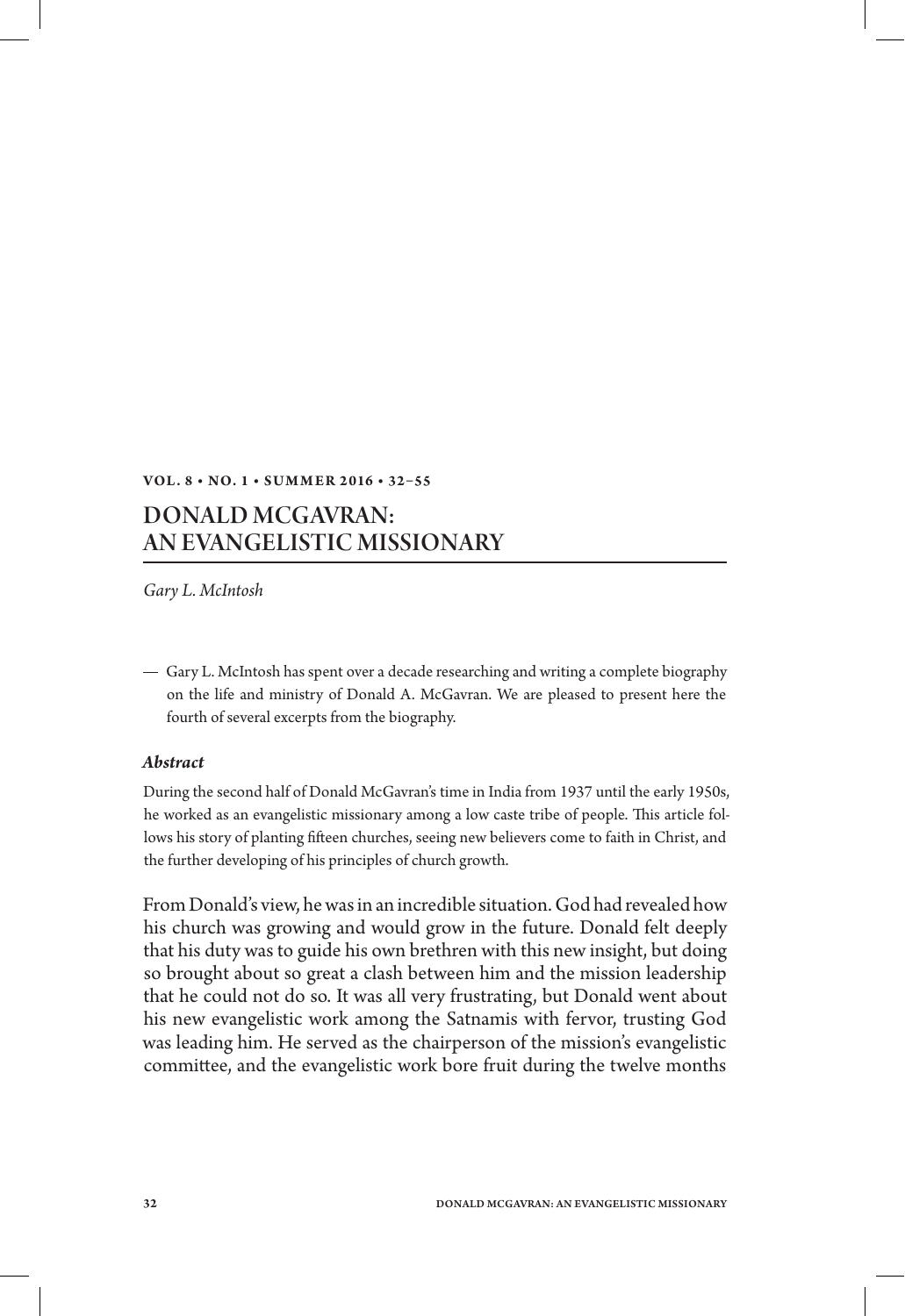## **Vol . 8 • No. 1 • S u m m er 2 016 • 32–55**

## Donald McGavran: An Evangelistic Missionary

*Gary L. McIntosh*

Gary L. McIntosh has spent over a decade researching and writing a complete biography on the life and ministry of Donald A. McGavran. We are pleased to present here the fourth of several excerpts from the biography.

## *Abstract*

During the second half of Donald McGavran's time in India from 1937 until the early 1950s, he worked as an evangelistic missionary among a low caste tribe of people. This article follows his story of planting fifteen churches, seeing new believers come to faith in Christ, and the further developing of his principles of church growth.

From Donald's view, he was in an incredible situation. God had revealed how his church was growing and would grow in the future. Donald felt deeply that his duty was to guide his own brethren with this new insight, but doing so brought about so great a clash between him and the mission leadership that he could not do so. It was all very frustrating, but Donald went about his new evangelistic work among the Satnamis with fervor, trusting God was leading him. He served as the chairperson of the mission's evangelistic committee, and the evangelistic work bore fruit during the twelve months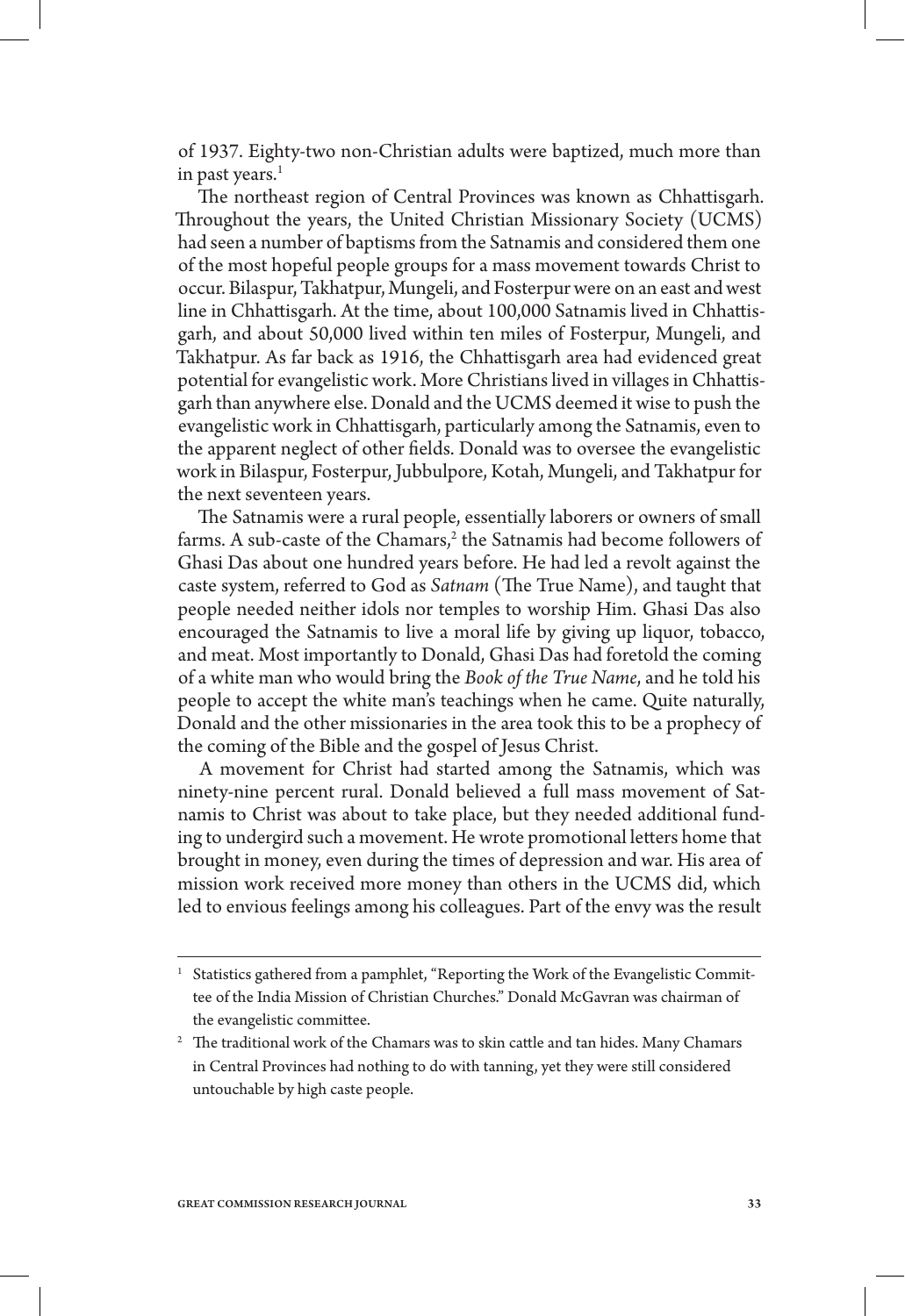of 1937. Eighty-two non-Christian adults were baptized, much more than in past years. $<sup>1</sup>$ </sup>

The northeast region of Central Provinces was known as Chhattisgarh. Throughout the years, the United Christian Missionary Society (UCMS) had seen a number of baptisms from the Satnamis and considered them one of the most hopeful people groups for a mass movement towards Christ to occur. Bilaspur, Takhatpur, Mungeli, and Fosterpur were on an east and west line in Chhattisgarh. At the time, about 100,000 Satnamis lived in Chhattisgarh, and about 50,000 lived within ten miles of Fosterpur, Mungeli, and Takhatpur. As far back as 1916, the Chhattisgarh area had evidenced great potential for evangelistic work. More Christians lived in villages in Chhattisgarh than anywhere else. Donald and the UCMS deemed it wise to push the evangelistic work in Chhattisgarh, particularly among the Satnamis, even to the apparent neglect of other fields. Donald was to oversee the evangelistic work in Bilaspur, Fosterpur, Jubbulpore, Kotah, Mungeli, and Takhatpur for the next seventeen years.

The Satnamis were a rural people, essentially laborers or owners of small farms. A sub-caste of the Chamars, $^2$  the Satnamis had become followers of Ghasi Das about one hundred years before. He had led a revolt against the caste system, referred to God as *Satnam* (The True Name), and taught that people needed neither idols nor temples to worship Him. Ghasi Das also encouraged the Satnamis to live a moral life by giving up liquor, tobacco, and meat. Most importantly to Donald, Ghasi Das had foretold the coming of a white man who would bring the *Book of the True Name*, and he told his people to accept the white man's teachings when he came. Quite naturally, Donald and the other missionaries in the area took this to be a prophecy of the coming of the Bible and the gospel of Jesus Christ.

A movement for Christ had started among the Satnamis, which was ninety-nine percent rural. Donald believed a full mass movement of Satnamis to Christ was about to take place, but they needed additional funding to undergird such a movement. He wrote promotional letters home that brought in money, even during the times of depression and war. His area of mission work received more money than others in the UCMS did, which led to envious feelings among his colleagues. Part of the envy was the result

Statistics gathered from a pamphlet, "Reporting the Work of the Evangelistic Committee of the India Mission of Christian Churches." Donald McGavran was chairman of the evangelistic committee.

 $^{\rm 2}~$  The traditional work of the Chamars was to skin cattle and tan hides. Many Chamars in Central Provinces had nothing to do with tanning, yet they were still considered untouchable by high caste people.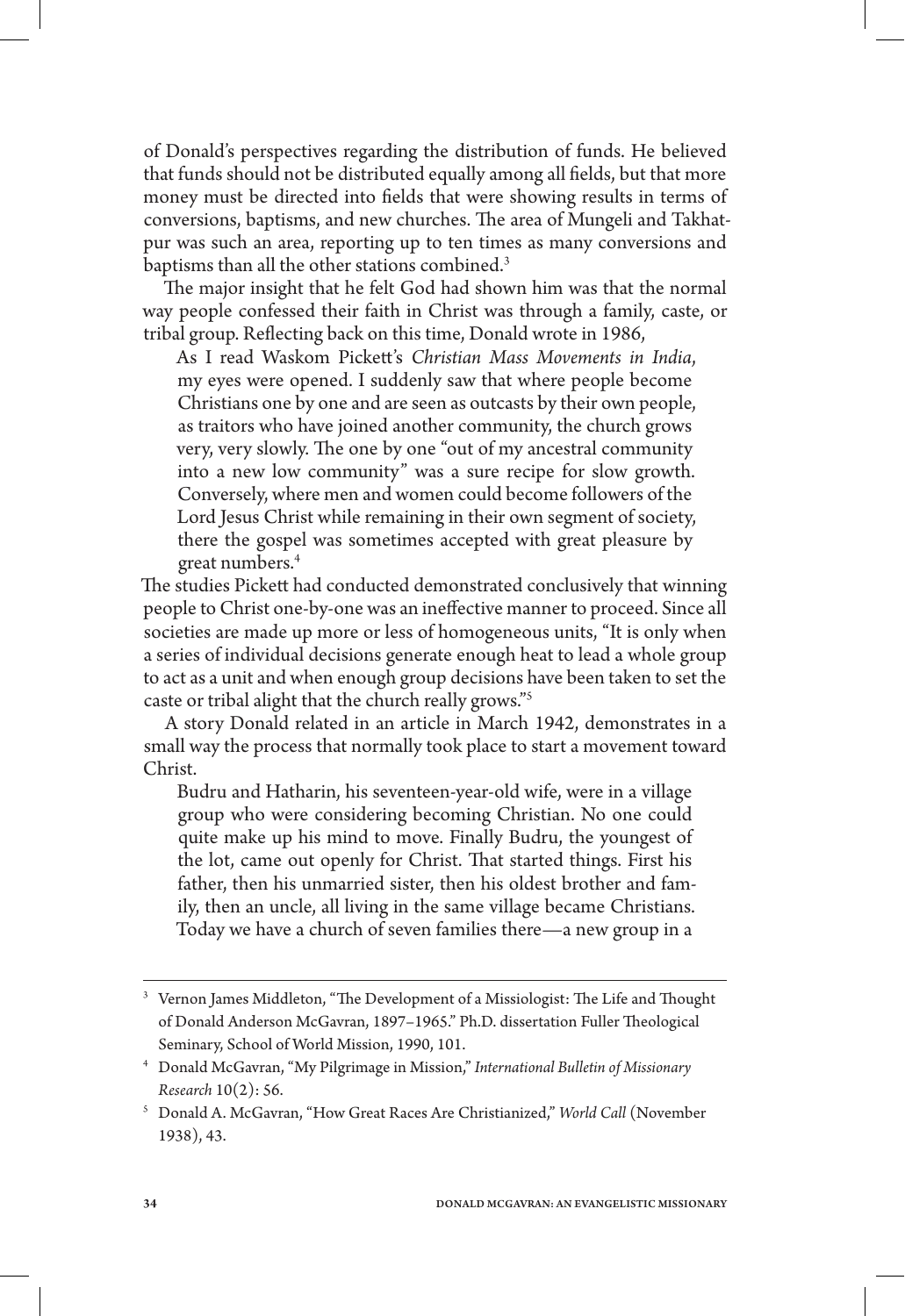of Donald's perspectives regarding the distribution of funds. He believed that funds should not be distributed equally among all fields, but that more money must be directed into fields that were showing results in terms of conversions, baptisms, and new churches. The area of Mungeli and Takhatpur was such an area, reporting up to ten times as many conversions and baptisms than all the other stations combined.<sup>3</sup>

The major insight that he felt God had shown him was that the normal way people confessed their faith in Christ was through a family, caste, or tribal group. Reflecting back on this time, Donald wrote in 1986,

As I read Waskom Pickett's *Christian Mass Movements in India*, my eyes were opened. I suddenly saw that where people become Christians one by one and are seen as outcasts by their own people, as traitors who have joined another community, the church grows very, very slowly. The one by one "out of my ancestral community into a new low community" was a sure recipe for slow growth. Conversely, where men and women could become followers of the Lord Jesus Christ while remaining in their own segment of society, there the gospel was sometimes accepted with great pleasure by great numbers.4

The studies Pickett had conducted demonstrated conclusively that winning people to Christ one-by-one was an ineffective manner to proceed. Since all societies are made up more or less of homogeneous units, "It is only when a series of individual decisions generate enough heat to lead a whole group to act as a unit and when enough group decisions have been taken to set the caste or tribal alight that the church really grows."5

A story Donald related in an article in March 1942, demonstrates in a small way the process that normally took place to start a movement toward Christ.

Budru and Hatharin, his seventeen-year-old wife, were in a village group who were considering becoming Christian. No one could quite make up his mind to move. Finally Budru, the youngest of the lot, came out openly for Christ. That started things. First his father, then his unmarried sister, then his oldest brother and family, then an uncle, all living in the same village became Christians. Today we have a church of seven families there—a new group in a

<sup>3</sup> Vernon James Middleton, "The Development of a Missiologist: The Life and Thought of Donald Anderson McGavran, 1897–1965." Ph.D. dissertation Fuller Theological Seminary, School of World Mission, 1990, 101.

<sup>4</sup> Donald McGavran, "My Pilgrimage in Mission," *International Bulletin of Missionary Research* 10(2): 56.

<sup>5</sup> Donald A. McGavran, "How Great Races Are Christianized," *World Call* (November 1938), 43.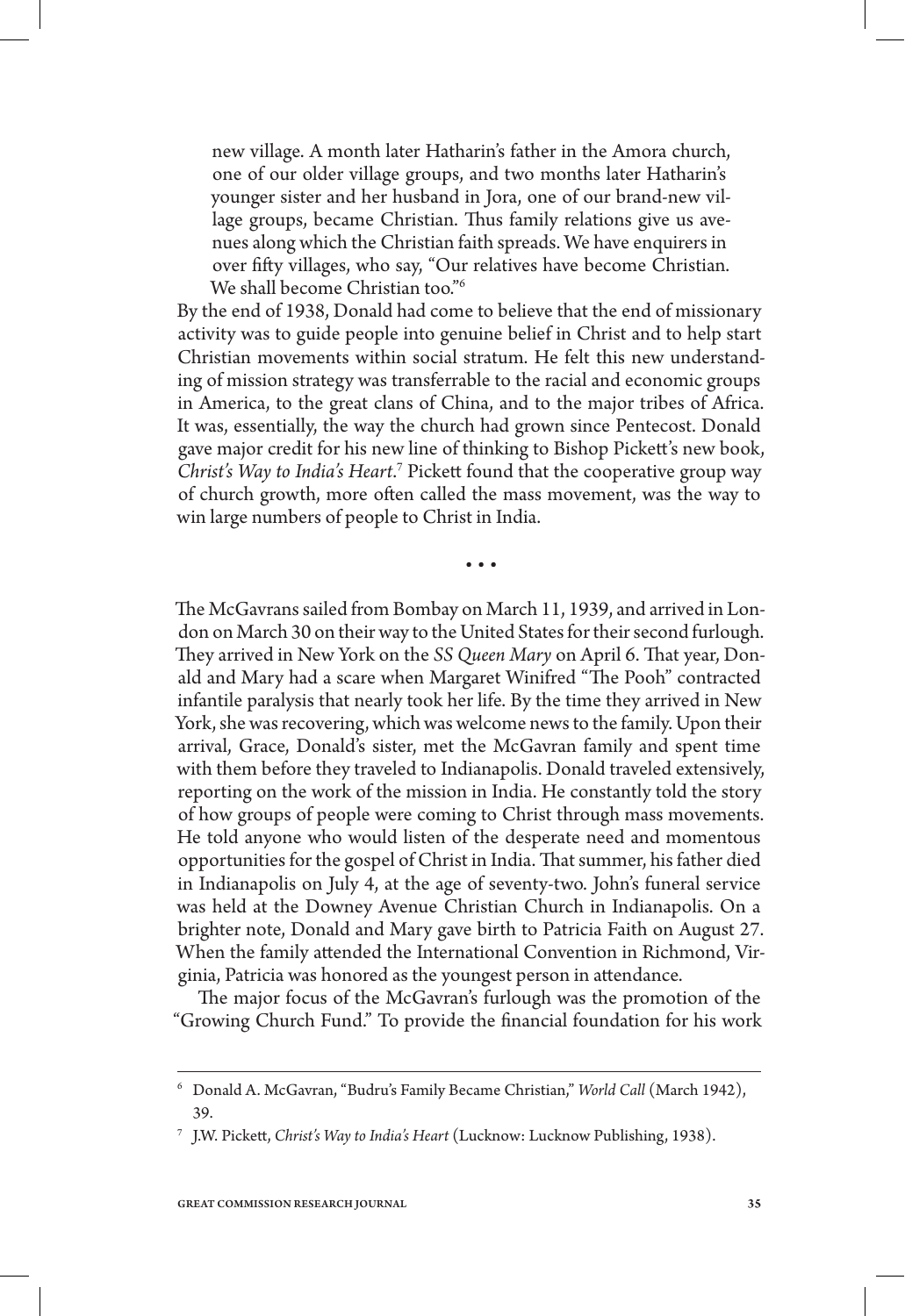new village. A month later Hatharin's father in the Amora church, one of our older village groups, and two months later Hatharin's younger sister and her husband in Jora, one of our brand-new village groups, became Christian. Thus family relations give us avenues along which the Christian faith spreads. We have enquirers in over fifty villages, who say, "Our relatives have become Christian. We shall become Christian too."<sup>6</sup>

By the end of 1938, Donald had come to believe that the end of missionary activity was to guide people into genuine belief in Christ and to help start Christian movements within social stratum. He felt this new understanding of mission strategy was transferrable to the racial and economic groups in America, to the great clans of China, and to the major tribes of Africa. It was, essentially, the way the church had grown since Pentecost. Donald gave major credit for his new line of thinking to Bishop Pickett's new book, Christ's Way to India's Heart.<sup>7</sup> Pickett found that the cooperative group way of church growth, more often called the mass movement, was the way to win large numbers of people to Christ in India.

• • •

The McGavrans sailed from Bombay on March 11, 1939, and arrived in London on March 30 on their way to the United States for their second furlough. They arrived in New York on the *SS Queen Mary* on April 6. That year, Donald and Mary had a scare when Margaret Winifred "The Pooh" contracted infantile paralysis that nearly took her life. By the time they arrived in New York, she was recovering, which was welcome news to the family. Upon their arrival, Grace, Donald's sister, met the McGavran family and spent time with them before they traveled to Indianapolis. Donald traveled extensively, reporting on the work of the mission in India. He constantly told the story of how groups of people were coming to Christ through mass movements. He told anyone who would listen of the desperate need and momentous opportunities for the gospel of Christ in India. That summer, his father died in Indianapolis on July 4, at the age of seventy-two. John's funeral service was held at the Downey Avenue Christian Church in Indianapolis. On a brighter note, Donald and Mary gave birth to Patricia Faith on August 27. When the family attended the International Convention in Richmond, Virginia, Patricia was honored as the youngest person in attendance.

The major focus of the McGavran's furlough was the promotion of the "Growing Church Fund." To provide the financial foundation for his work

<sup>6</sup> Donald A. McGavran, "Budru's Family Became Christian," *World Call* (March 1942), 39.

<sup>7</sup> J.W. Pickett, *Christ's Way to India's Heart* (Lucknow: Lucknow Publishing, 1938).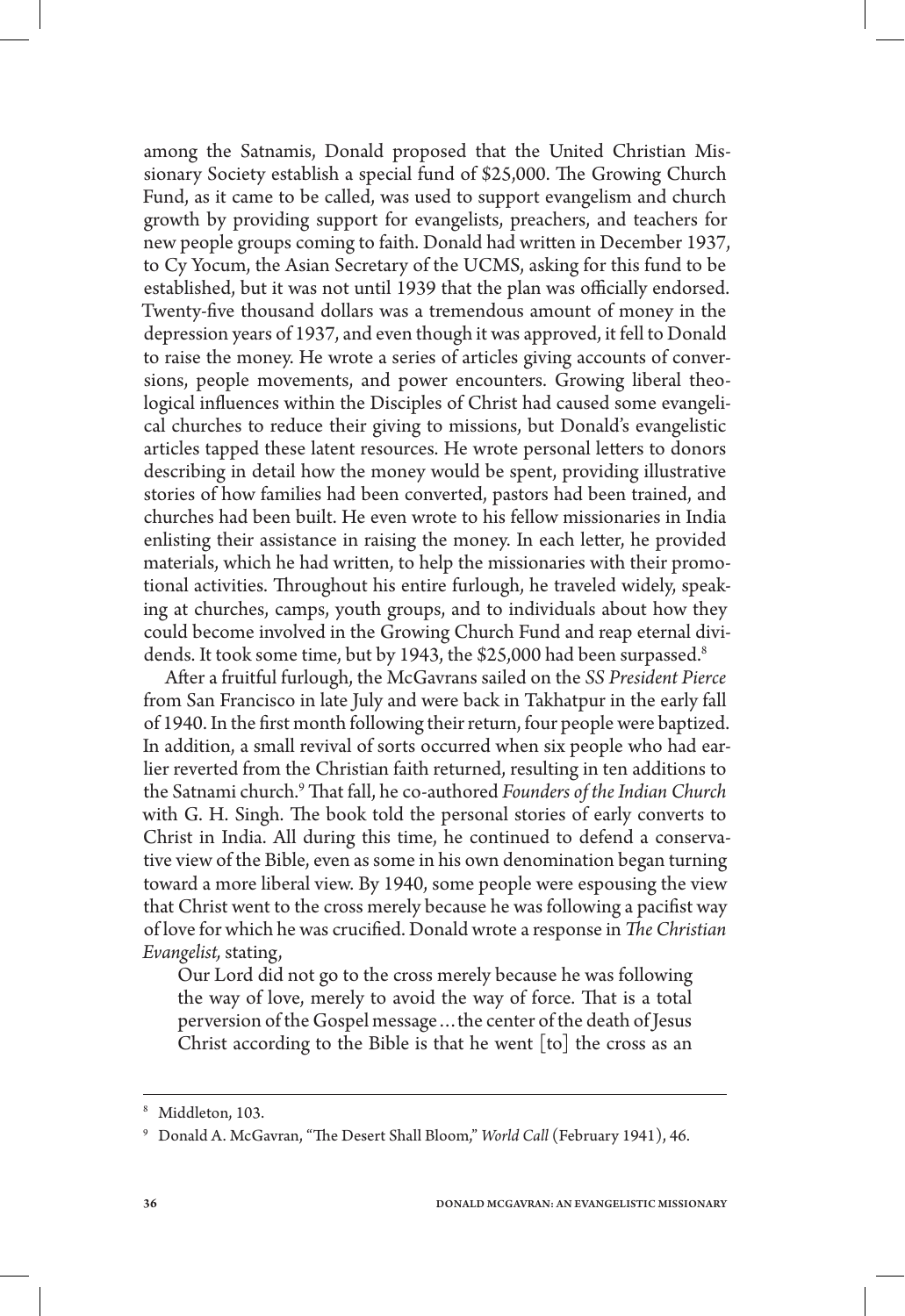among the Satnamis, Donald proposed that the United Christian Missionary Society establish a special fund of \$25,000. The Growing Church Fund, as it came to be called, was used to support evangelism and church growth by providing support for evangelists, preachers, and teachers for new people groups coming to faith. Donald had written in December 1937, to Cy Yocum, the Asian Secretary of the UCMS, asking for this fund to be established, but it was not until 1939 that the plan was officially endorsed. Twenty-five thousand dollars was a tremendous amount of money in the depression years of 1937, and even though it was approved, it fell to Donald to raise the money. He wrote a series of articles giving accounts of conversions, people movements, and power encounters. Growing liberal theological influences within the Disciples of Christ had caused some evangelical churches to reduce their giving to missions, but Donald's evangelistic articles tapped these latent resources. He wrote personal letters to donors describing in detail how the money would be spent, providing illustrative stories of how families had been converted, pastors had been trained, and churches had been built. He even wrote to his fellow missionaries in India enlisting their assistance in raising the money. In each letter, he provided materials, which he had written, to help the missionaries with their promotional activities. Throughout his entire furlough, he traveled widely, speaking at churches, camps, youth groups, and to individuals about how they could become involved in the Growing Church Fund and reap eternal dividends. It took some time, but by 1943, the \$25,000 had been surpassed.<sup>8</sup>

After a fruitful furlough, the McGavrans sailed on the *SS President Pierce* from San Francisco in late July and were back in Takhatpur in the early fall of 1940. In the first month following their return, four people were baptized. In addition, a small revival of sorts occurred when six people who had earlier reverted from the Christian faith returned, resulting in ten additions to the Satnami church.9 That fall, he co-authored *Founders of the Indian Church* with G. H. Singh. The book told the personal stories of early converts to Christ in India. All during this time, he continued to defend a conservative view of the Bible, even as some in his own denomination began turning toward a more liberal view. By 1940, some people were espousing the view that Christ went to the cross merely because he was following a pacifist way of love for which he was crucified. Donald wrote a response in *The Christian Evangelist,* stating,

Our Lord did not go to the cross merely because he was following the way of love, merely to avoid the way of force. That is a total perversion of the Gospel message…the center of the death of Jesus Christ according to the Bible is that he went [to] the cross as an

<sup>8</sup> Middleton, 103.

<sup>9</sup> Donald A. McGavran, "The Desert Shall Bloom," *World Call* (February 1941), 46.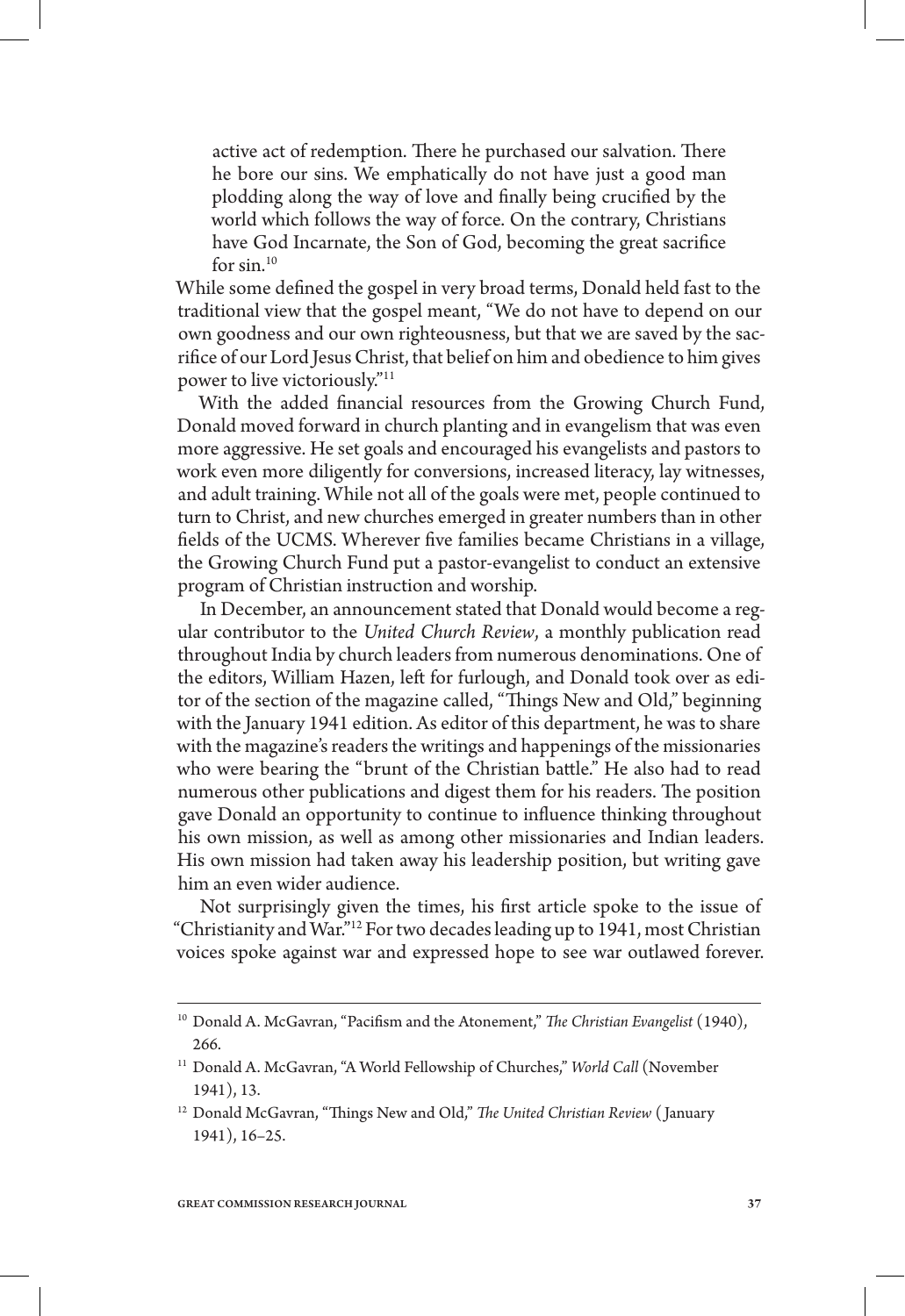active act of redemption. There he purchased our salvation. There he bore our sins. We emphatically do not have just a good man plodding along the way of love and finally being crucified by the world which follows the way of force. On the contrary, Christians have God Incarnate, the Son of God, becoming the great sacrifice for  $\sin^{10}$ 

While some defined the gospel in very broad terms, Donald held fast to the traditional view that the gospel meant, "We do not have to depend on our own goodness and our own righteousness, but that we are saved by the sacrifice of our Lord Jesus Christ, that belief on him and obedience to him gives power to live victoriously."11

With the added financial resources from the Growing Church Fund, Donald moved forward in church planting and in evangelism that was even more aggressive. He set goals and encouraged his evangelists and pastors to work even more diligently for conversions, increased literacy, lay witnesses, and adult training. While not all of the goals were met, people continued to turn to Christ, and new churches emerged in greater numbers than in other fields of the UCMS. Wherever five families became Christians in a village, the Growing Church Fund put a pastor-evangelist to conduct an extensive program of Christian instruction and worship.

In December, an announcement stated that Donald would become a regular contributor to the *United Church Review*, a monthly publication read throughout India by church leaders from numerous denominations. One of the editors, William Hazen, left for furlough, and Donald took over as editor of the section of the magazine called, "Things New and Old," beginning with the January 1941 edition. As editor of this department, he was to share with the magazine's readers the writings and happenings of the missionaries who were bearing the "brunt of the Christian battle." He also had to read numerous other publications and digest them for his readers. The position gave Donald an opportunity to continue to influence thinking throughout his own mission, as well as among other missionaries and Indian leaders. His own mission had taken away his leadership position, but writing gave him an even wider audience.

Not surprisingly given the times, his first article spoke to the issue of "Christianity and War."12 For two decades leading up to 1941, most Christian voices spoke against war and expressed hope to see war outlawed forever.

<sup>&</sup>lt;sup>10</sup> Donald A. McGavran, "Pacifism and the Atonement," *The Christian Evangelist* (1940), 266.

<sup>&</sup>lt;sup>11</sup> Donald A. McGavran, "A World Fellowship of Churches," *World Call* (November 1941), 13.

<sup>12</sup> Donald McGavran, "Things New and Old," *The United Christian Review* ( January 1941), 16–25.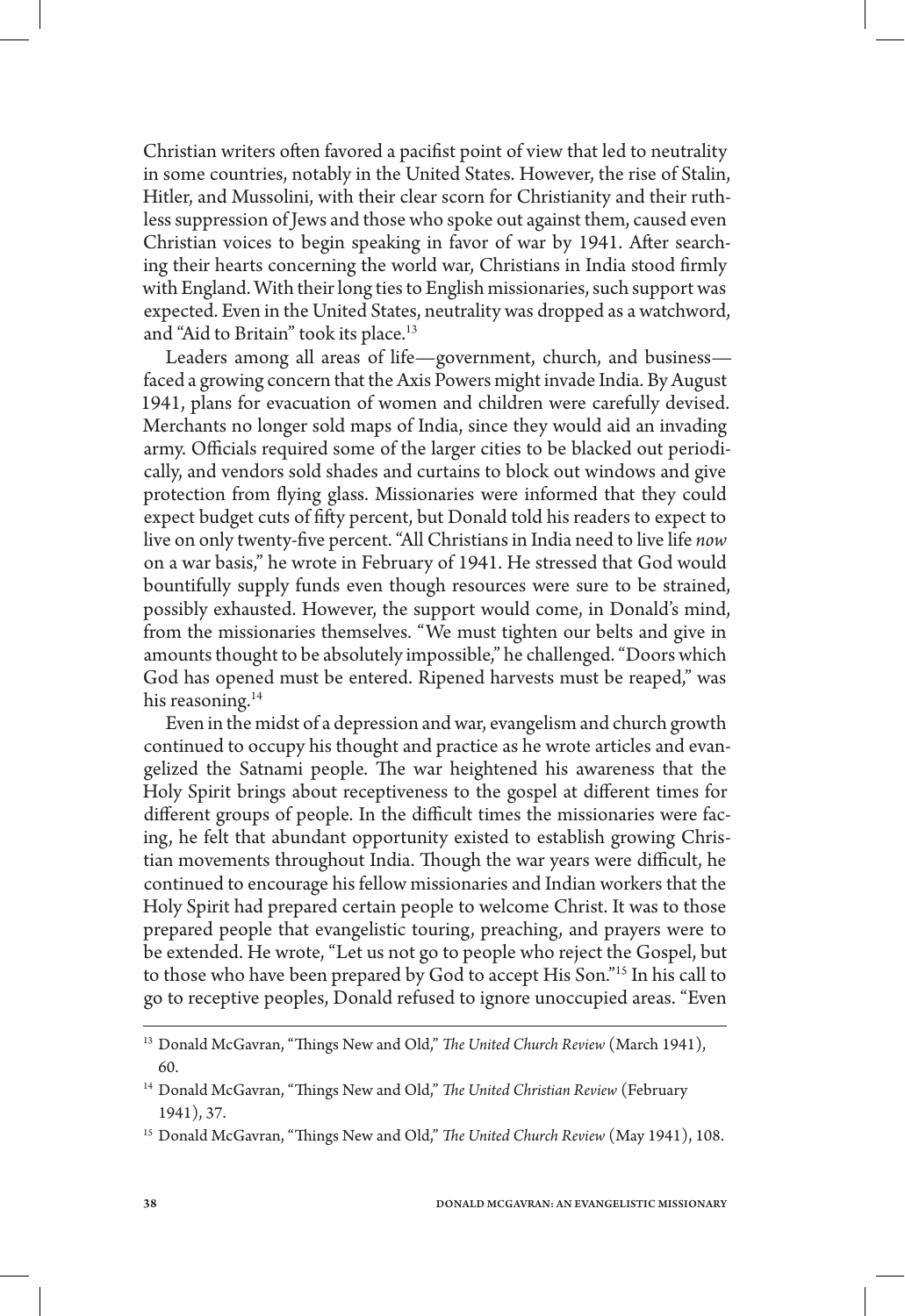Christian writers often favored a pacifist point of view that led to neutrality in some countries, notably in the United States. However, the rise of Stalin, Hitler, and Mussolini, with their clear scorn for Christianity and their ruthless suppression of Jews and those who spoke out against them, caused even Christian voices to begin speaking in favor of war by 1941. After searching their hearts concerning the world war, Christians in India stood firmly with England. With their long ties to English missionaries, such support was expected. Even in the United States, neutrality was dropped as a watchword, and "Aid to Britain" took its place.<sup>13</sup>

Leaders among all areas of life—government, church, and business faced a growing concern that the Axis Powers might invade India. By August 1941, plans for evacuation of women and children were carefully devised. Merchants no longer sold maps of India, since they would aid an invading army. Officials required some of the larger cities to be blacked out periodically, and vendors sold shades and curtains to block out windows and give protection from flying glass. Missionaries were informed that they could expect budget cuts of fifty percent, but Donald told his readers to expect to live on only twenty-five percent. "All Christians in India need to live life *now* on a war basis," he wrote in February of 1941. He stressed that God would bountifully supply funds even though resources were sure to be strained, possibly exhausted. However, the support would come, in Donald's mind, from the missionaries themselves. "We must tighten our belts and give in amounts thought to be absolutely impossible," he challenged. "Doors which God has opened must be entered. Ripened harvests must be reaped," was his reasoning. $14$ 

Even in the midst of a depression and war, evangelism and church growth continued to occupy his thought and practice as he wrote articles and evangelized the Satnami people. The war heightened his awareness that the Holy Spirit brings about receptiveness to the gospel at different times for different groups of people. In the difficult times the missionaries were facing, he felt that abundant opportunity existed to establish growing Christian movements throughout India. Though the war years were difficult, he continued to encourage his fellow missionaries and Indian workers that the Holy Spirit had prepared certain people to welcome Christ. It was to those prepared people that evangelistic touring, preaching, and prayers were to be extended. He wrote, "Let us not go to people who reject the Gospel, but to those who have been prepared by God to accept His Son."15 In his call to go to receptive peoples, Donald refused to ignore unoccupied areas. "Even

<sup>13</sup> Donald McGavran, "Things New and Old," *The United Church Review* (March 1941), 60.

<sup>&</sup>lt;sup>14</sup> Donald McGavran, "Things New and Old," The United Christian Review (February 1941), 37.

<sup>15</sup> Donald McGavran, "Things New and Old," *The United Church Review* (May 1941), 108.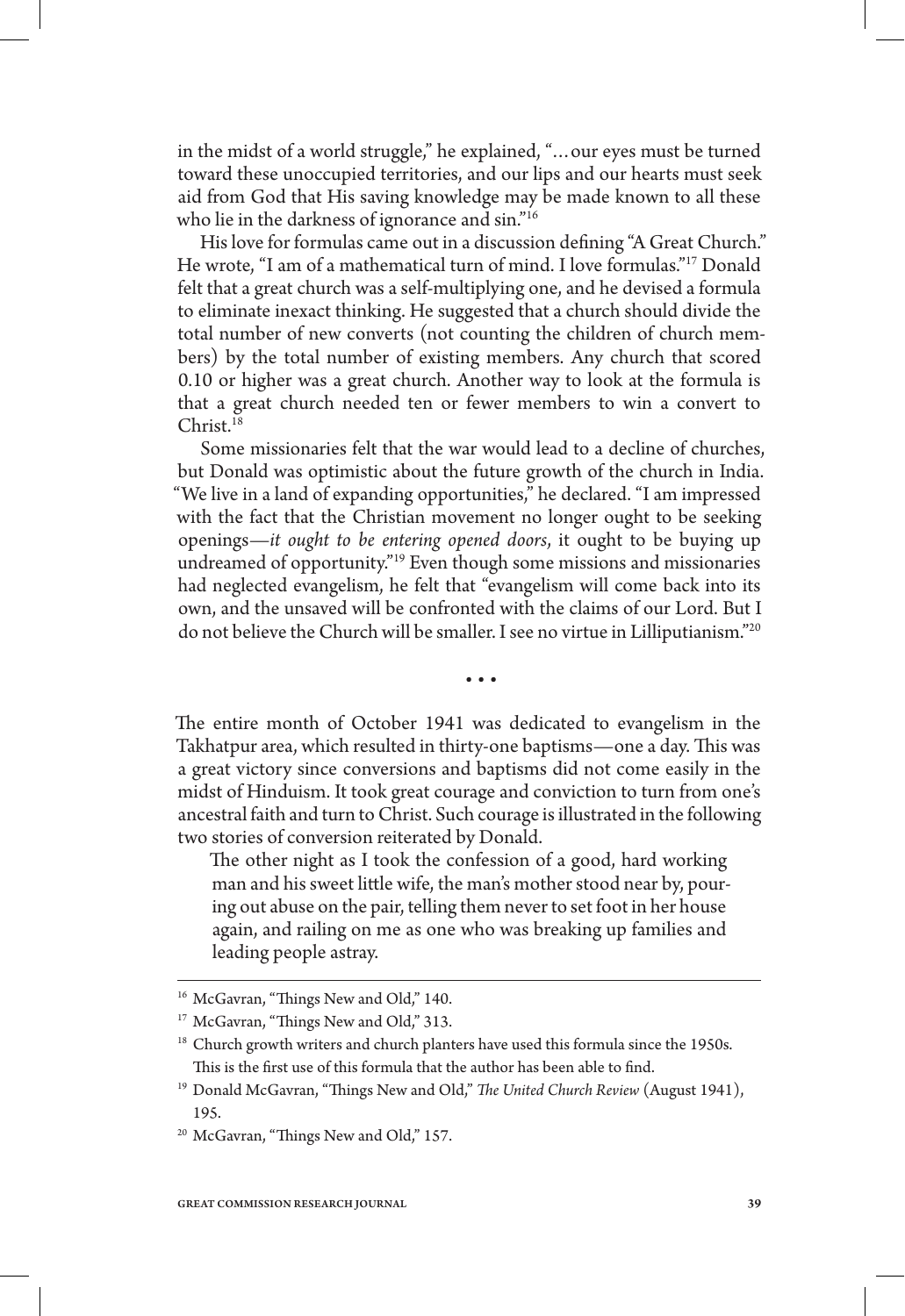in the midst of a world struggle," he explained, "…our eyes must be turned toward these unoccupied territories, and our lips and our hearts must seek aid from God that His saving knowledge may be made known to all these who lie in the darkness of ignorance and sin."<sup>16</sup>

His love for formulas came out in a discussion defining "A Great Church." He wrote, "I am of a mathematical turn of mind. I love formulas."17 Donald felt that a great church was a self-multiplying one, and he devised a formula to eliminate inexact thinking. He suggested that a church should divide the total number of new converts (not counting the children of church members) by the total number of existing members. Any church that scored 0.10 or higher was a great church. Another way to look at the formula is that a great church needed ten or fewer members to win a convert to Christ.18

Some missionaries felt that the war would lead to a decline of churches, but Donald was optimistic about the future growth of the church in India. "We live in a land of expanding opportunities," he declared. "I am impressed with the fact that the Christian movement no longer ought to be seeking openings—*it ought to be entering opened doors*, it ought to be buying up undreamed of opportunity."19 Even though some missions and missionaries had neglected evangelism, he felt that "evangelism will come back into its own, and the unsaved will be confronted with the claims of our Lord. But I do not believe the Church will be smaller. I see no virtue in Lilliputianism."20

• • •

The entire month of October 1941 was dedicated to evangelism in the Takhatpur area, which resulted in thirty-one baptisms—one a day. This was a great victory since conversions and baptisms did not come easily in the midst of Hinduism. It took great courage and conviction to turn from one's ancestral faith and turn to Christ. Such courage is illustrated in the following two stories of conversion reiterated by Donald.

The other night as I took the confession of a good, hard working man and his sweet little wife, the man's mother stood near by, pouring out abuse on the pair, telling them never to set foot in her house again, and railing on me as one who was breaking up families and leading people astray.

<sup>&</sup>lt;sup>16</sup> McGavran, "Things New and Old," 140.

<sup>&</sup>lt;sup>17</sup> McGavran, "Things New and Old," 313.

<sup>&</sup>lt;sup>18</sup> Church growth writers and church planters have used this formula since the 1950s. This is the first use of this formula that the author has been able to find.

<sup>&</sup>lt;sup>19</sup> Donald McGavran, "Things New and Old," The United Church Review (August 1941), 195.

<sup>&</sup>lt;sup>20</sup> McGavran, "Things New and Old," 157.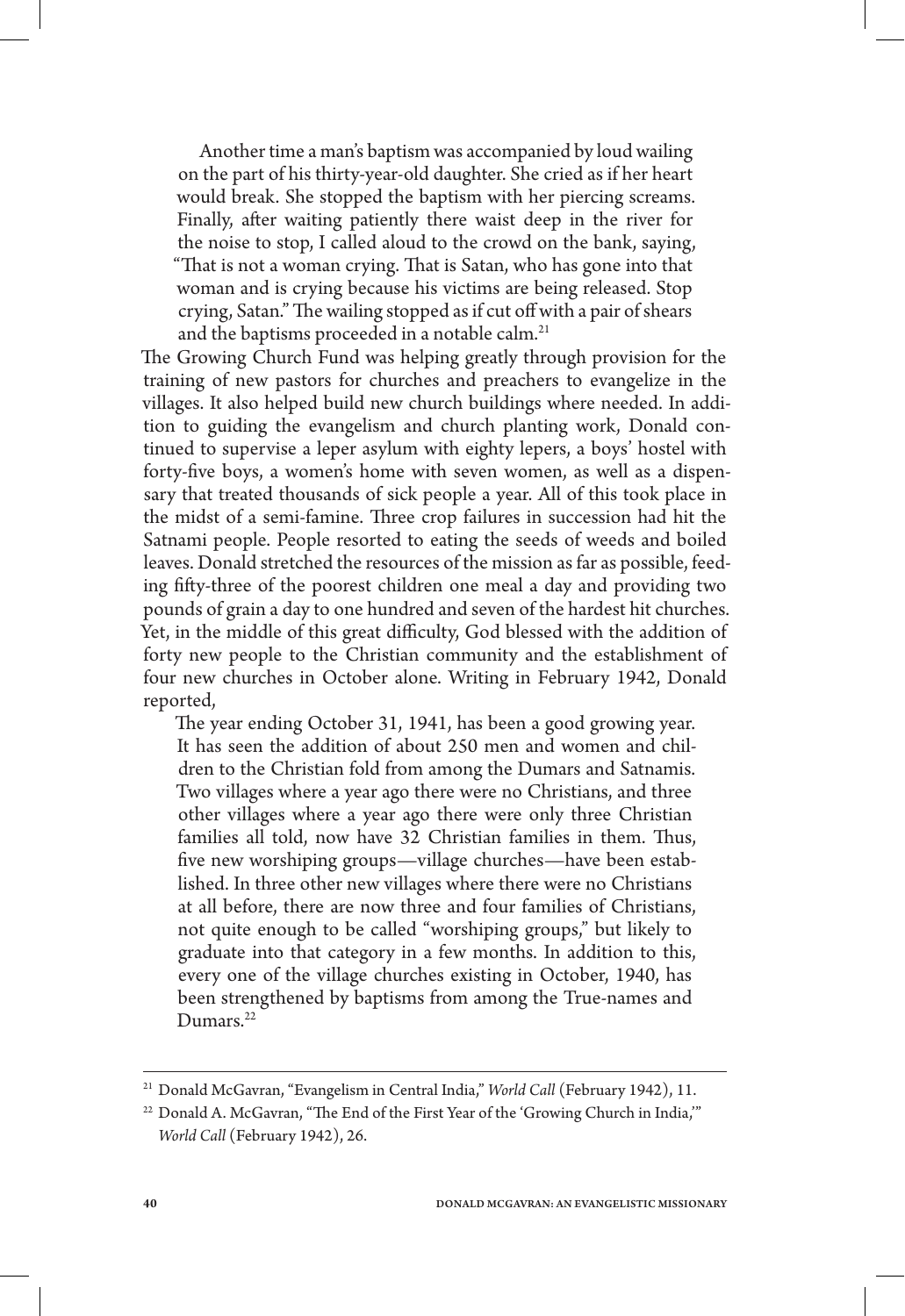Another time a man's baptism was accompanied by loud wailing on the part of his thirty-year-old daughter. She cried as if her heart would break. She stopped the baptism with her piercing screams. Finally, after waiting patiently there waist deep in the river for the noise to stop, I called aloud to the crowd on the bank, saying, "That is not a woman crying. That is Satan, who has gone into that woman and is crying because his victims are being released. Stop crying, Satan." The wailing stopped as if cut off with a pair of shears and the baptisms proceeded in a notable calm.<sup>21</sup>

The Growing Church Fund was helping greatly through provision for the training of new pastors for churches and preachers to evangelize in the villages. It also helped build new church buildings where needed. In addition to guiding the evangelism and church planting work, Donald continued to supervise a leper asylum with eighty lepers, a boys' hostel with forty-five boys, a women's home with seven women, as well as a dispensary that treated thousands of sick people a year. All of this took place in the midst of a semi-famine. Three crop failures in succession had hit the Satnami people. People resorted to eating the seeds of weeds and boiled leaves. Donald stretched the resources of the mission as far as possible, feeding fifty-three of the poorest children one meal a day and providing two pounds of grain a day to one hundred and seven of the hardest hit churches. Yet, in the middle of this great difficulty, God blessed with the addition of forty new people to the Christian community and the establishment of four new churches in October alone. Writing in February 1942, Donald reported,

The year ending October 31, 1941, has been a good growing year. It has seen the addition of about 250 men and women and children to the Christian fold from among the Dumars and Satnamis. Two villages where a year ago there were no Christians, and three other villages where a year ago there were only three Christian families all told, now have 32 Christian families in them. Thus, five new worshiping groups—village churches—have been established. In three other new villages where there were no Christians at all before, there are now three and four families of Christians, not quite enough to be called "worshiping groups," but likely to graduate into that category in a few months. In addition to this, every one of the village churches existing in October, 1940, has been strengthened by baptisms from among the True-names and Dumars.<sup>22</sup>

<sup>21</sup> Donald McGavran, "Evangelism in Central India," *World Call* (February 1942), 11.

<sup>&</sup>lt;sup>22</sup> Donald A. McGavran, "The End of the First Year of the 'Growing Church in India," *World Call* (February 1942), 26.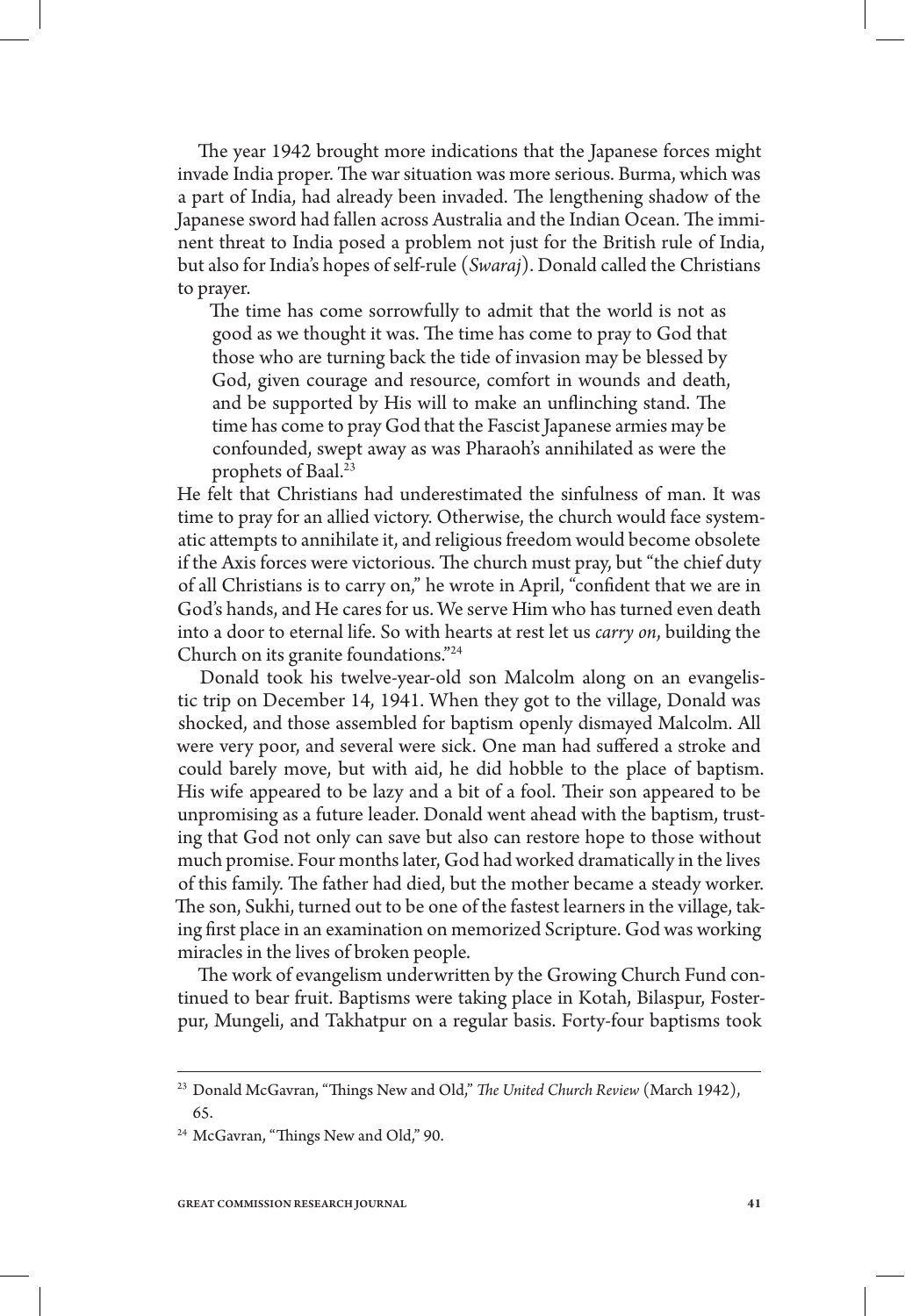The year 1942 brought more indications that the Japanese forces might invade India proper. The war situation was more serious. Burma, which was a part of India, had already been invaded. The lengthening shadow of the Japanese sword had fallen across Australia and the Indian Ocean. The imminent threat to India posed a problem not just for the British rule of India, but also for India's hopes of self-rule (*Swaraj*). Donald called the Christians to prayer.

The time has come sorrowfully to admit that the world is not as good as we thought it was. The time has come to pray to God that those who are turning back the tide of invasion may be blessed by God, given courage and resource, comfort in wounds and death, and be supported by His will to make an unflinching stand. The time has come to pray God that the Fascist Japanese armies may be confounded, swept away as was Pharaoh's annihilated as were the prophets of Baal.<sup>23</sup>

He felt that Christians had underestimated the sinfulness of man. It was time to pray for an allied victory. Otherwise, the church would face systematic attempts to annihilate it, and religious freedom would become obsolete if the Axis forces were victorious. The church must pray, but "the chief duty of all Christians is to carry on," he wrote in April, "confident that we are in God's hands, and He cares for us. We serve Him who has turned even death into a door to eternal life. So with hearts at rest let us *carry on*, building the Church on its granite foundations."24

Donald took his twelve-year-old son Malcolm along on an evangelistic trip on December 14, 1941. When they got to the village, Donald was shocked, and those assembled for baptism openly dismayed Malcolm. All were very poor, and several were sick. One man had suffered a stroke and could barely move, but with aid, he did hobble to the place of baptism. His wife appeared to be lazy and a bit of a fool. Their son appeared to be unpromising as a future leader. Donald went ahead with the baptism, trusting that God not only can save but also can restore hope to those without much promise. Four months later, God had worked dramatically in the lives of this family. The father had died, but the mother became a steady worker. The son, Sukhi, turned out to be one of the fastest learners in the village, taking first place in an examination on memorized Scripture. God was working miracles in the lives of broken people.

The work of evangelism underwritten by the Growing Church Fund continued to bear fruit. Baptisms were taking place in Kotah, Bilaspur, Fosterpur, Mungeli, and Takhatpur on a regular basis. Forty-four baptisms took

<sup>23</sup> Donald McGavran, "Things New and Old," *The United Church Review* (March 1942), 65.

<sup>&</sup>lt;sup>24</sup> McGavran, "Things New and Old," 90.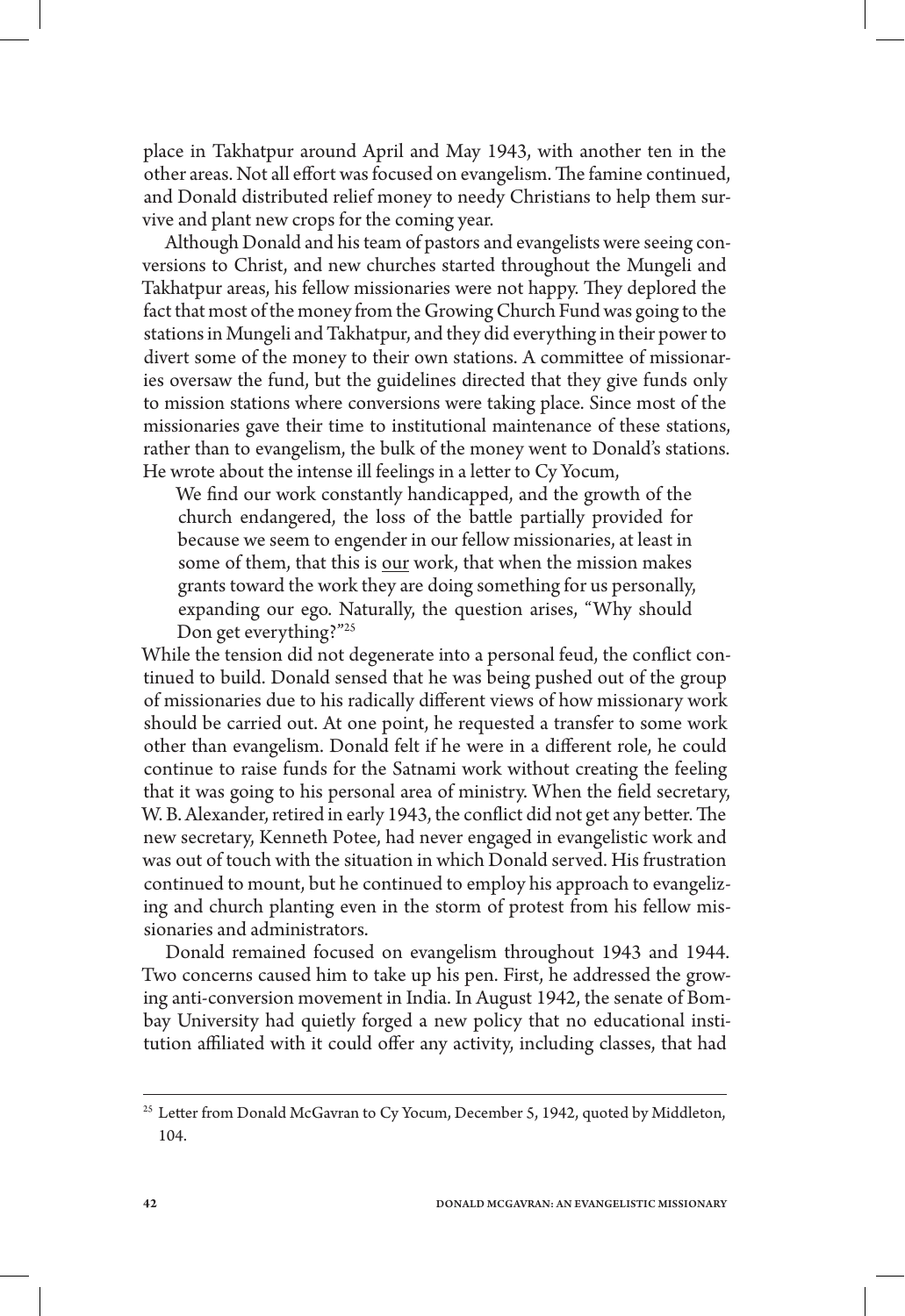place in Takhatpur around April and May 1943, with another ten in the other areas. Not all effort was focused on evangelism. The famine continued, and Donald distributed relief money to needy Christians to help them survive and plant new crops for the coming year.

Although Donald and his team of pastors and evangelists were seeing conversions to Christ, and new churches started throughout the Mungeli and Takhatpur areas, his fellow missionaries were not happy. They deplored the fact that most of the money from the Growing Church Fund was going to the stations in Mungeli and Takhatpur, and they did everything in their power to divert some of the money to their own stations. A committee of missionaries oversaw the fund, but the guidelines directed that they give funds only to mission stations where conversions were taking place. Since most of the missionaries gave their time to institutional maintenance of these stations, rather than to evangelism, the bulk of the money went to Donald's stations. He wrote about the intense ill feelings in a letter to Cy Yocum,

We find our work constantly handicapped, and the growth of the church endangered, the loss of the battle partially provided for because we seem to engender in our fellow missionaries, at least in some of them, that this is our work, that when the mission makes grants toward the work they are doing something for us personally, expanding our ego. Naturally, the question arises, "Why should Don get everything?"25

While the tension did not degenerate into a personal feud, the conflict continued to build. Donald sensed that he was being pushed out of the group of missionaries due to his radically different views of how missionary work should be carried out. At one point, he requested a transfer to some work other than evangelism. Donald felt if he were in a different role, he could continue to raise funds for the Satnami work without creating the feeling that it was going to his personal area of ministry. When the field secretary, W. B. Alexander, retired in early 1943, the conflict did not get any better. The new secretary, Kenneth Potee, had never engaged in evangelistic work and was out of touch with the situation in which Donald served. His frustration continued to mount, but he continued to employ his approach to evangelizing and church planting even in the storm of protest from his fellow missionaries and administrators.

Donald remained focused on evangelism throughout 1943 and 1944. Two concerns caused him to take up his pen. First, he addressed the growing anti-conversion movement in India. In August 1942, the senate of Bombay University had quietly forged a new policy that no educational institution affiliated with it could offer any activity, including classes, that had

<sup>&</sup>lt;sup>25</sup> Letter from Donald McGavran to Cy Yocum, December 5, 1942, quoted by Middleton, 104.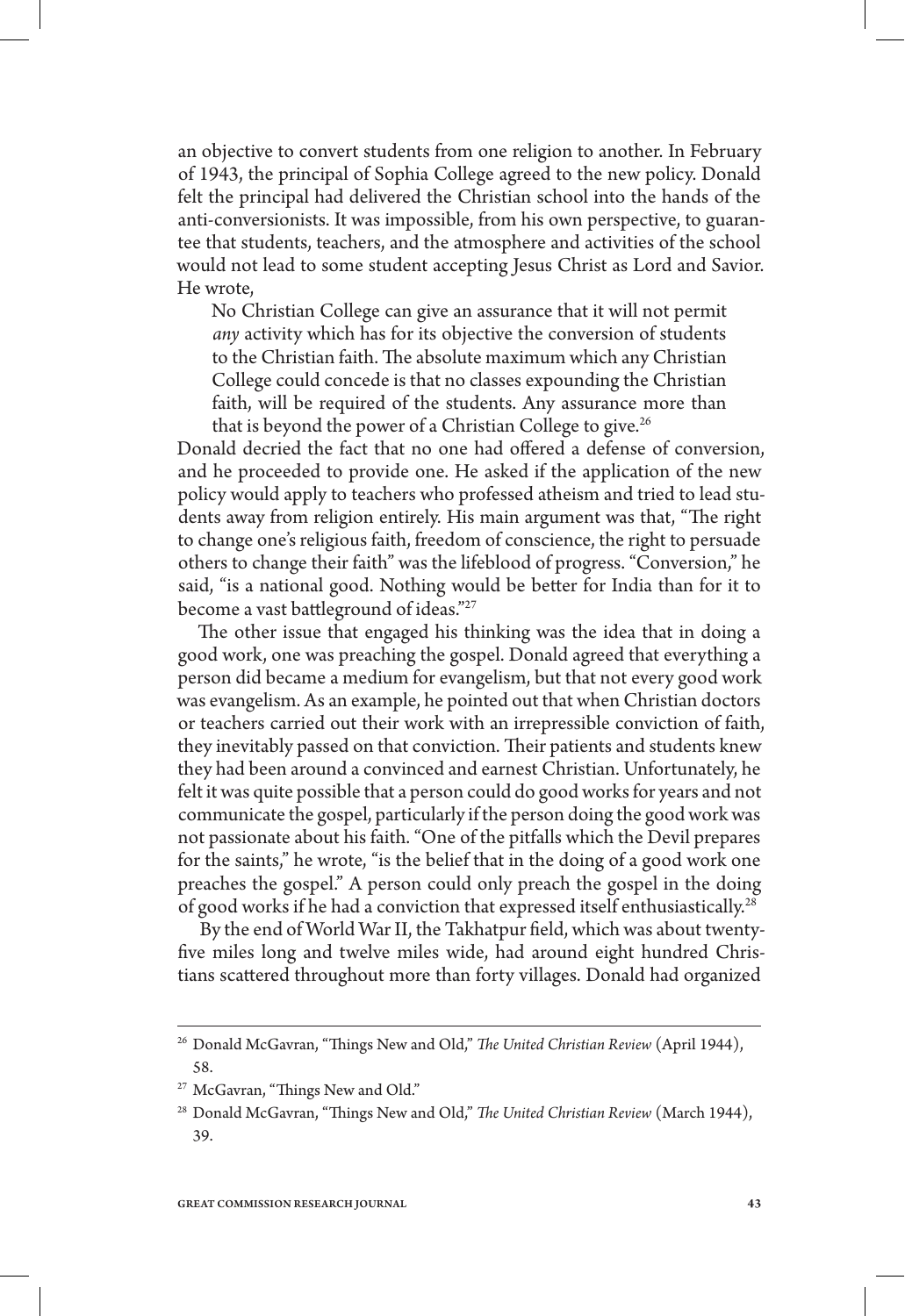an objective to convert students from one religion to another. In February of 1943, the principal of Sophia College agreed to the new policy. Donald felt the principal had delivered the Christian school into the hands of the anti-conversionists. It was impossible, from his own perspective, to guarantee that students, teachers, and the atmosphere and activities of the school would not lead to some student accepting Jesus Christ as Lord and Savior. He wrote,

No Christian College can give an assurance that it will not permit *any* activity which has for its objective the conversion of students to the Christian faith. The absolute maximum which any Christian College could concede is that no classes expounding the Christian faith, will be required of the students. Any assurance more than that is beyond the power of a Christian College to give.<sup>26</sup>

Donald decried the fact that no one had offered a defense of conversion, and he proceeded to provide one. He asked if the application of the new policy would apply to teachers who professed atheism and tried to lead students away from religion entirely. His main argument was that, "The right to change one's religious faith, freedom of conscience, the right to persuade others to change their faith" was the lifeblood of progress. "Conversion," he said, "is a national good. Nothing would be better for India than for it to become a vast battleground of ideas."27

The other issue that engaged his thinking was the idea that in doing a good work, one was preaching the gospel. Donald agreed that everything a person did became a medium for evangelism, but that not every good work was evangelism. As an example, he pointed out that when Christian doctors or teachers carried out their work with an irrepressible conviction of faith, they inevitably passed on that conviction. Their patients and students knew they had been around a convinced and earnest Christian. Unfortunately, he felt it was quite possible that a person could do good works for years and not communicate the gospel, particularly if the person doing the good work was not passionate about his faith. "One of the pitfalls which the Devil prepares for the saints," he wrote, "is the belief that in the doing of a good work one preaches the gospel." A person could only preach the gospel in the doing of good works if he had a conviction that expressed itself enthusiastically.28

By the end of World War II, the Takhatpur field, which was about twentyfive miles long and twelve miles wide, had around eight hundred Christians scattered throughout more than forty villages. Donald had organized

<sup>26</sup> Donald McGavran, "Things New and Old," *The United Christian Review* (April 1944), 58.

<sup>&</sup>lt;sup>27</sup> McGavran, "Things New and Old."

<sup>28</sup> Donald McGavran, "Things New and Old," *The United Christian Review* (March 1944), 39.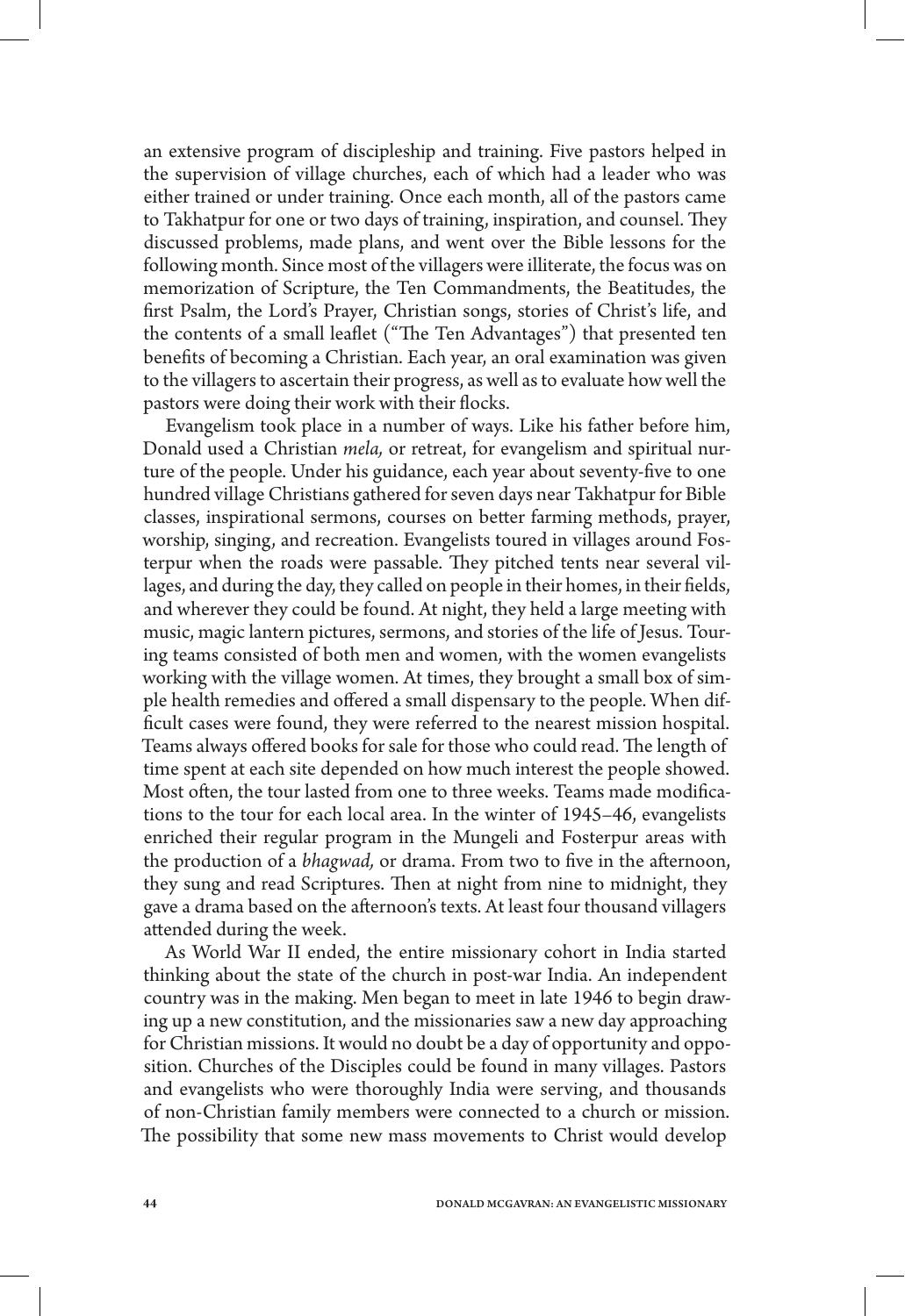an extensive program of discipleship and training. Five pastors helped in the supervision of village churches, each of which had a leader who was either trained or under training. Once each month, all of the pastors came to Takhatpur for one or two days of training, inspiration, and counsel. They discussed problems, made plans, and went over the Bible lessons for the following month. Since most of the villagers were illiterate, the focus was on memorization of Scripture, the Ten Commandments, the Beatitudes, the first Psalm, the Lord's Prayer, Christian songs, stories of Christ's life, and the contents of a small leaflet ("The Ten Advantages") that presented ten benefits of becoming a Christian. Each year, an oral examination was given to the villagers to ascertain their progress, as well as to evaluate how well the pastors were doing their work with their flocks.

Evangelism took place in a number of ways. Like his father before him, Donald used a Christian *mela,* or retreat, for evangelism and spiritual nurture of the people. Under his guidance, each year about seventy-five to one hundred village Christians gathered for seven days near Takhatpur for Bible classes, inspirational sermons, courses on better farming methods, prayer, worship, singing, and recreation. Evangelists toured in villages around Fosterpur when the roads were passable. They pitched tents near several villages, and during the day, they called on people in their homes, in their fields, and wherever they could be found. At night, they held a large meeting with music, magic lantern pictures, sermons, and stories of the life of Jesus. Touring teams consisted of both men and women, with the women evangelists working with the village women. At times, they brought a small box of simple health remedies and offered a small dispensary to the people. When difficult cases were found, they were referred to the nearest mission hospital. Teams always offered books for sale for those who could read. The length of time spent at each site depended on how much interest the people showed. Most often, the tour lasted from one to three weeks. Teams made modifications to the tour for each local area. In the winter of 1945–46, evangelists enriched their regular program in the Mungeli and Fosterpur areas with the production of a *bhagwad,* or drama. From two to five in the afternoon, they sung and read Scriptures. Then at night from nine to midnight, they gave a drama based on the afternoon's texts. At least four thousand villagers attended during the week.

As World War II ended, the entire missionary cohort in India started thinking about the state of the church in post-war India. An independent country was in the making. Men began to meet in late 1946 to begin drawing up a new constitution, and the missionaries saw a new day approaching for Christian missions. It would no doubt be a day of opportunity and opposition. Churches of the Disciples could be found in many villages. Pastors and evangelists who were thoroughly India were serving, and thousands of non-Christian family members were connected to a church or mission. The possibility that some new mass movements to Christ would develop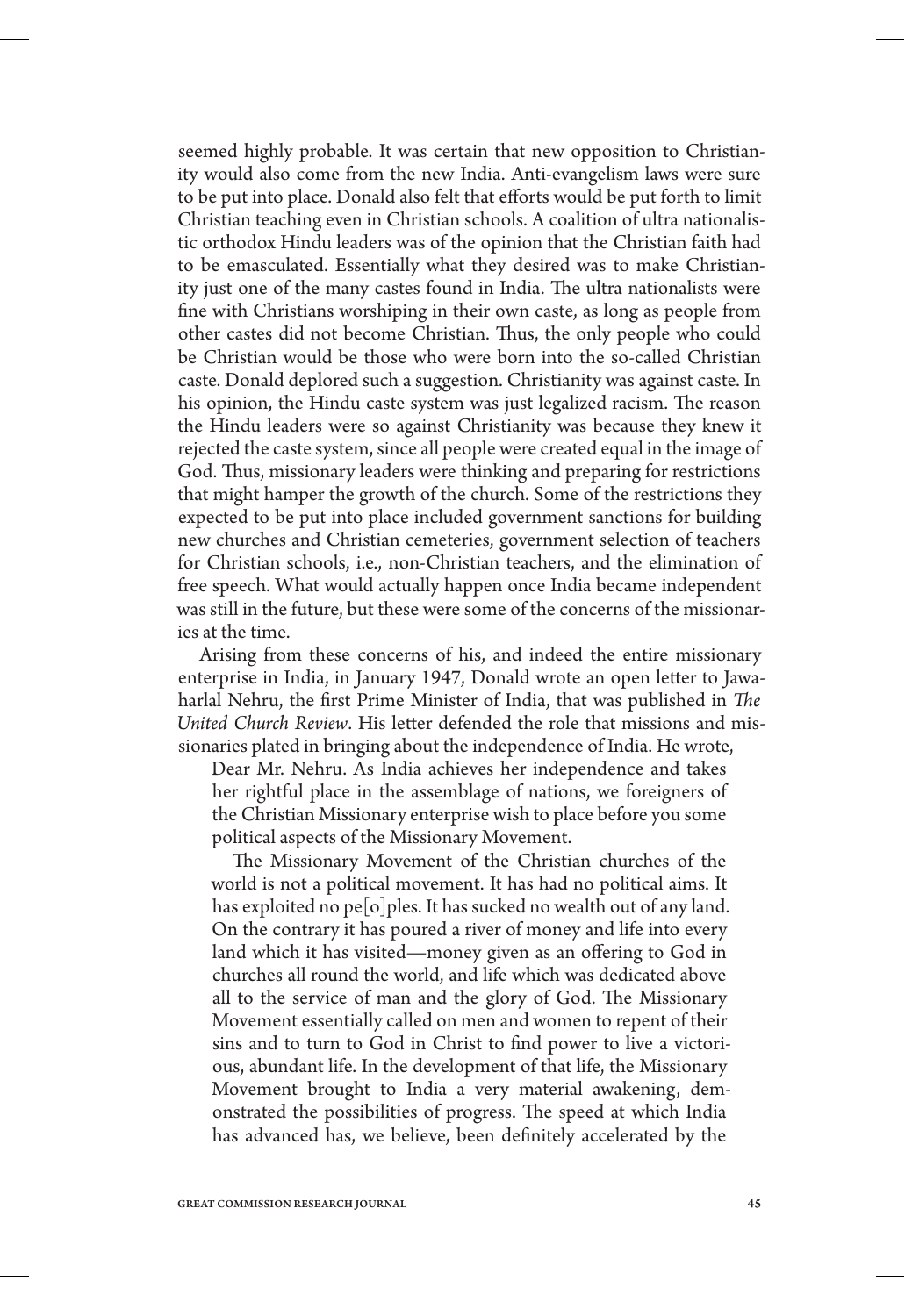seemed highly probable. It was certain that new opposition to Christianity would also come from the new India. Anti-evangelism laws were sure to be put into place. Donald also felt that efforts would be put forth to limit Christian teaching even in Christian schools. A coalition of ultra nationalistic orthodox Hindu leaders was of the opinion that the Christian faith had to be emasculated. Essentially what they desired was to make Christianity just one of the many castes found in India. The ultra nationalists were fine with Christians worshiping in their own caste, as long as people from other castes did not become Christian. Thus, the only people who could be Christian would be those who were born into the so-called Christian caste. Donald deplored such a suggestion. Christianity was against caste. In his opinion, the Hindu caste system was just legalized racism. The reason the Hindu leaders were so against Christianity was because they knew it rejected the caste system, since all people were created equal in the image of God. Thus, missionary leaders were thinking and preparing for restrictions that might hamper the growth of the church. Some of the restrictions they expected to be put into place included government sanctions for building new churches and Christian cemeteries, government selection of teachers for Christian schools, i.e., non-Christian teachers, and the elimination of free speech. What would actually happen once India became independent was still in the future, but these were some of the concerns of the missionaries at the time.

Arising from these concerns of his, and indeed the entire missionary enterprise in India, in January 1947, Donald wrote an open letter to Jawaharlal Nehru, the first Prime Minister of India, that was published in *The United Church Review*. His letter defended the role that missions and missionaries plated in bringing about the independence of India. He wrote,

Dear Mr. Nehru. As India achieves her independence and takes her rightful place in the assemblage of nations, we foreigners of the Christian Missionary enterprise wish to place before you some political aspects of the Missionary Movement.

The Missionary Movement of the Christian churches of the world is not a political movement. It has had no political aims. It has exploited no pe<sup>[</sup>o]ples. It has sucked no wealth out of any land. On the contrary it has poured a river of money and life into every land which it has visited—money given as an offering to God in churches all round the world, and life which was dedicated above all to the service of man and the glory of God. The Missionary Movement essentially called on men and women to repent of their sins and to turn to God in Christ to find power to live a victorious, abundant life. In the development of that life, the Missionary Movement brought to India a very material awakening, demonstrated the possibilities of progress. The speed at which India has advanced has, we believe, been definitely accelerated by the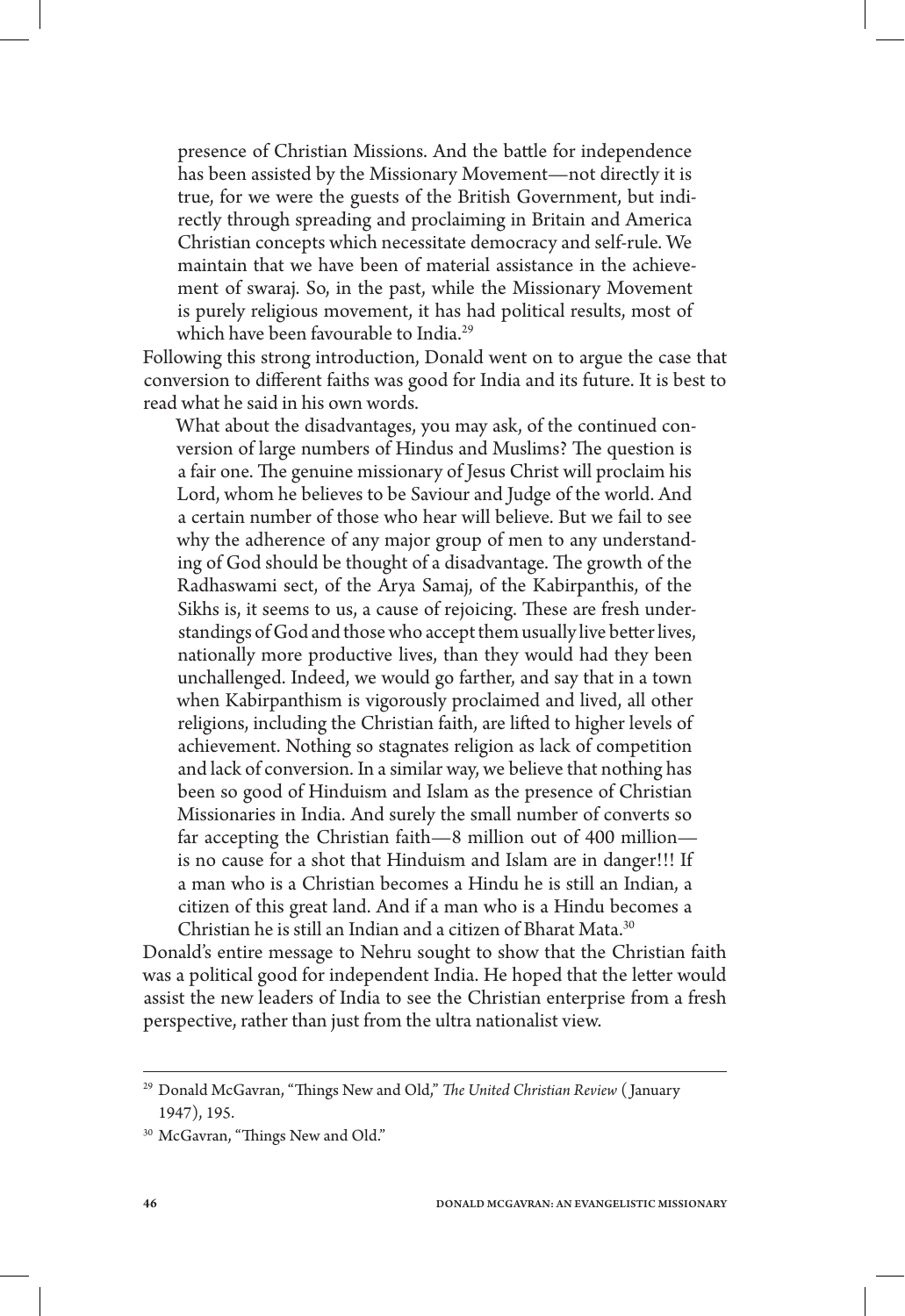presence of Christian Missions. And the battle for independence has been assisted by the Missionary Movement—not directly it is true, for we were the guests of the British Government, but indirectly through spreading and proclaiming in Britain and America Christian concepts which necessitate democracy and self-rule. We maintain that we have been of material assistance in the achievement of swaraj. So, in the past, while the Missionary Movement is purely religious movement, it has had political results, most of which have been favourable to India.<sup>29</sup>

Following this strong introduction, Donald went on to argue the case that conversion to different faiths was good for India and its future. It is best to read what he said in his own words.

What about the disadvantages, you may ask, of the continued conversion of large numbers of Hindus and Muslims? The question is a fair one. The genuine missionary of Jesus Christ will proclaim his Lord, whom he believes to be Saviour and Judge of the world. And a certain number of those who hear will believe. But we fail to see why the adherence of any major group of men to any understanding of God should be thought of a disadvantage. The growth of the Radhaswami sect, of the Arya Samaj, of the Kabirpanthis, of the Sikhs is, it seems to us, a cause of rejoicing. These are fresh understandings of God and those who accept them usually live better lives, nationally more productive lives, than they would had they been unchallenged. Indeed, we would go farther, and say that in a town when Kabirpanthism is vigorously proclaimed and lived, all other religions, including the Christian faith, are lifted to higher levels of achievement. Nothing so stagnates religion as lack of competition and lack of conversion. In a similar way, we believe that nothing has been so good of Hinduism and Islam as the presence of Christian Missionaries in India. And surely the small number of converts so far accepting the Christian faith—8 million out of 400 million is no cause for a shot that Hinduism and Islam are in danger!!! If a man who is a Christian becomes a Hindu he is still an Indian, a citizen of this great land. And if a man who is a Hindu becomes a Christian he is still an Indian and a citizen of Bharat Mata.30

Donald's entire message to Nehru sought to show that the Christian faith was a political good for independent India. He hoped that the letter would assist the new leaders of India to see the Christian enterprise from a fresh perspective, rather than just from the ultra nationalist view.

<sup>29</sup> Donald McGavran, "Things New and Old," *The United Christian Review* ( January 1947), 195.

<sup>&</sup>lt;sup>30</sup> McGavran, "Things New and Old."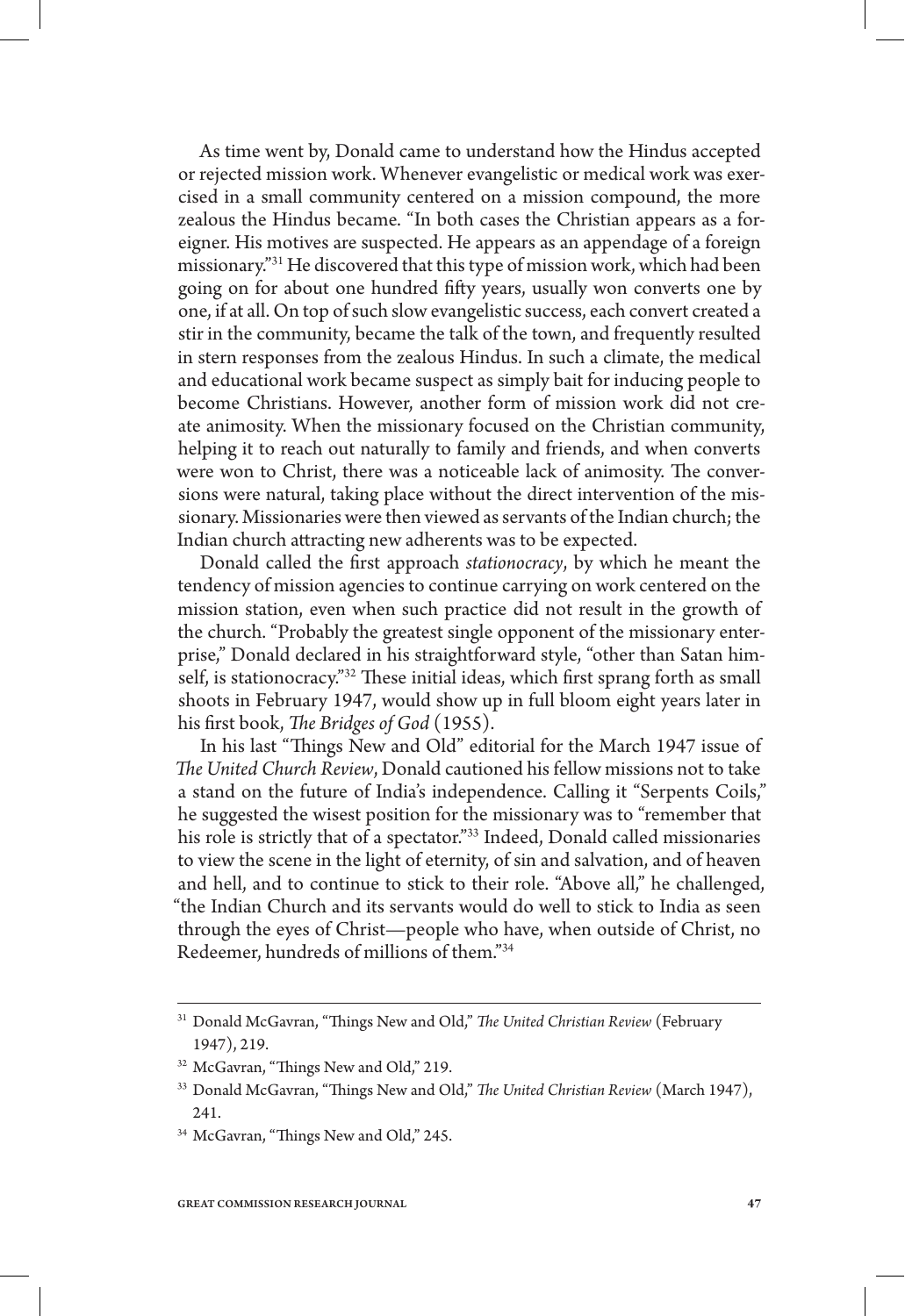As time went by, Donald came to understand how the Hindus accepted or rejected mission work. Whenever evangelistic or medical work was exercised in a small community centered on a mission compound, the more zealous the Hindus became. "In both cases the Christian appears as a foreigner. His motives are suspected. He appears as an appendage of a foreign missionary."31 He discovered that this type of mission work, which had been going on for about one hundred fifty years, usually won converts one by one, if at all. On top of such slow evangelistic success, each convert created a stir in the community, became the talk of the town, and frequently resulted in stern responses from the zealous Hindus. In such a climate, the medical and educational work became suspect as simply bait for inducing people to become Christians. However, another form of mission work did not create animosity. When the missionary focused on the Christian community, helping it to reach out naturally to family and friends, and when converts were won to Christ, there was a noticeable lack of animosity. The conversions were natural, taking place without the direct intervention of the missionary. Missionaries were then viewed as servants of the Indian church; the Indian church attracting new adherents was to be expected.

Donald called the first approach *stationocracy*, by which he meant the tendency of mission agencies to continue carrying on work centered on the mission station, even when such practice did not result in the growth of the church. "Probably the greatest single opponent of the missionary enterprise," Donald declared in his straightforward style, "other than Satan himself, is stationocracy."<sup>32</sup> These initial ideas, which first sprang forth as small shoots in February 1947, would show up in full bloom eight years later in his first book, *The Bridges of God* (1955).

In his last "Things New and Old" editorial for the March 1947 issue of *The United Church Review*, Donald cautioned his fellow missions not to take a stand on the future of India's independence. Calling it "Serpents Coils," he suggested the wisest position for the missionary was to "remember that his role is strictly that of a spectator."33 Indeed, Donald called missionaries to view the scene in the light of eternity, of sin and salvation, and of heaven and hell, and to continue to stick to their role. "Above all," he challenged, "the Indian Church and its servants would do well to stick to India as seen through the eyes of Christ—people who have, when outside of Christ, no Redeemer, hundreds of millions of them."34

<sup>31</sup> Donald McGavran, "Things New and Old," *The United Christian Review* (February 1947), 219.

<sup>32</sup> McGavran, "Things New and Old," 219.

<sup>33</sup> Donald McGavran, "Things New and Old," *The United Christian Review* (March 1947), 241.

<sup>34</sup> McGavran, "Things New and Old," 245.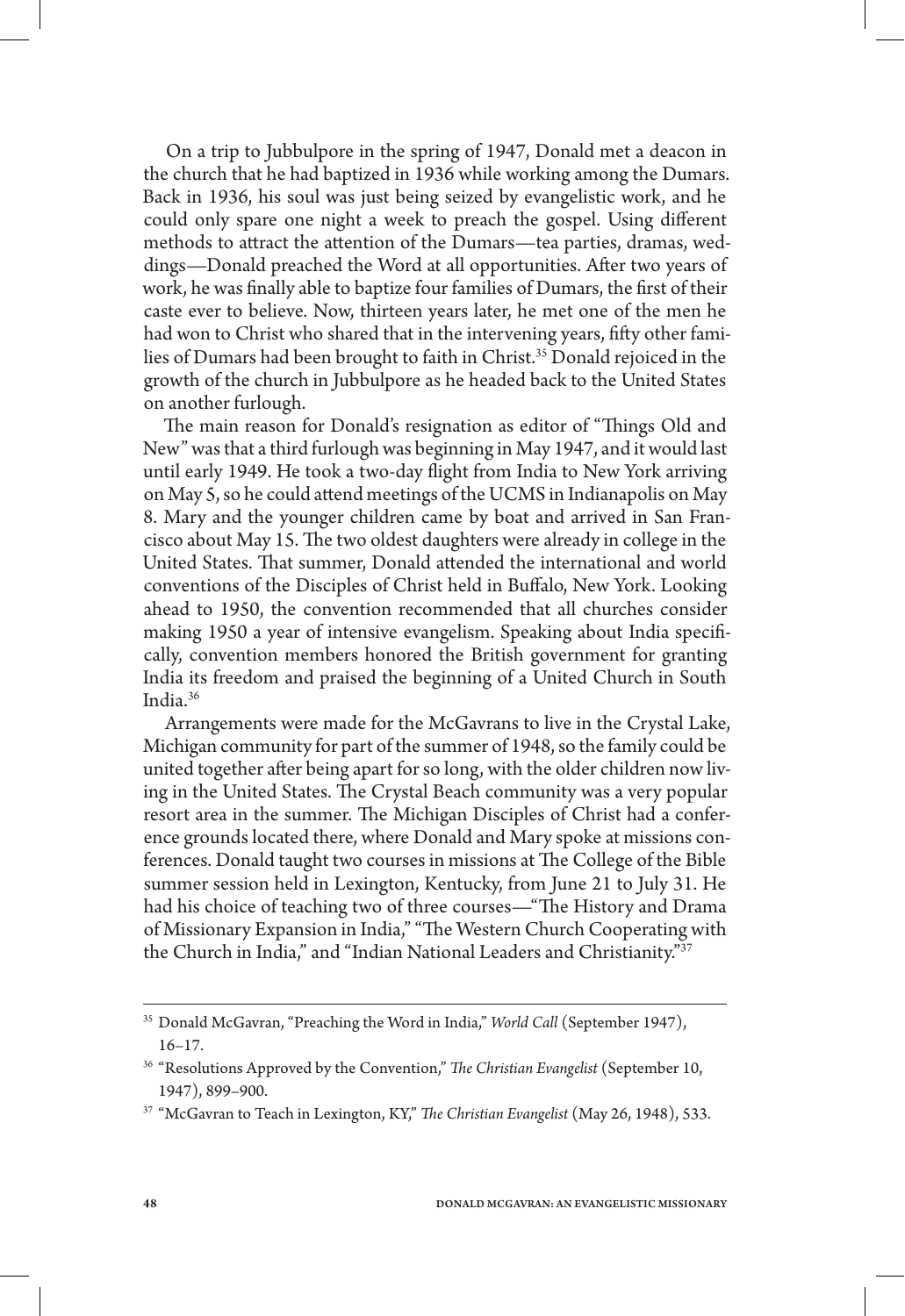On a trip to Jubbulpore in the spring of 1947, Donald met a deacon in the church that he had baptized in 1936 while working among the Dumars. Back in 1936, his soul was just being seized by evangelistic work, and he could only spare one night a week to preach the gospel. Using different methods to attract the attention of the Dumars—tea parties, dramas, weddings—Donald preached the Word at all opportunities. After two years of work, he was finally able to baptize four families of Dumars, the first of their caste ever to believe. Now, thirteen years later, he met one of the men he had won to Christ who shared that in the intervening years, fifty other families of Dumars had been brought to faith in Christ.35 Donald rejoiced in the growth of the church in Jubbulpore as he headed back to the United States on another furlough.

The main reason for Donald's resignation as editor of "Things Old and New" was that a third furlough was beginning in May 1947, and it would last until early 1949. He took a two-day flight from India to New York arriving on May 5, so he could attend meetings of the UCMS in Indianapolis on May 8. Mary and the younger children came by boat and arrived in San Francisco about May 15. The two oldest daughters were already in college in the United States. That summer, Donald attended the international and world conventions of the Disciples of Christ held in Buffalo, New York. Looking ahead to 1950, the convention recommended that all churches consider making 1950 a year of intensive evangelism. Speaking about India specifically, convention members honored the British government for granting India its freedom and praised the beginning of a United Church in South India.36

Arrangements were made for the McGavrans to live in the Crystal Lake, Michigan community for part of the summer of 1948, so the family could be united together after being apart for so long, with the older children now living in the United States. The Crystal Beach community was a very popular resort area in the summer. The Michigan Disciples of Christ had a conference grounds located there, where Donald and Mary spoke at missions conferences. Donald taught two courses in missions at The College of the Bible summer session held in Lexington, Kentucky, from June 21 to July 31. He had his choice of teaching two of three courses—"The History and Drama of Missionary Expansion in India," "The Western Church Cooperating with the Church in India," and "Indian National Leaders and Christianity."37

<sup>35</sup> Donald McGavran, "Preaching the Word in India," *World Call* (September 1947), 16–17.

<sup>36</sup> "Resolutions Approved by the Convention," *The Christian Evangelist* (September 10, 1947), 899–900.

<sup>37</sup> "McGavran to Teach in Lexington, KY," *The Christian Evangelist* (May 26, 1948), 533.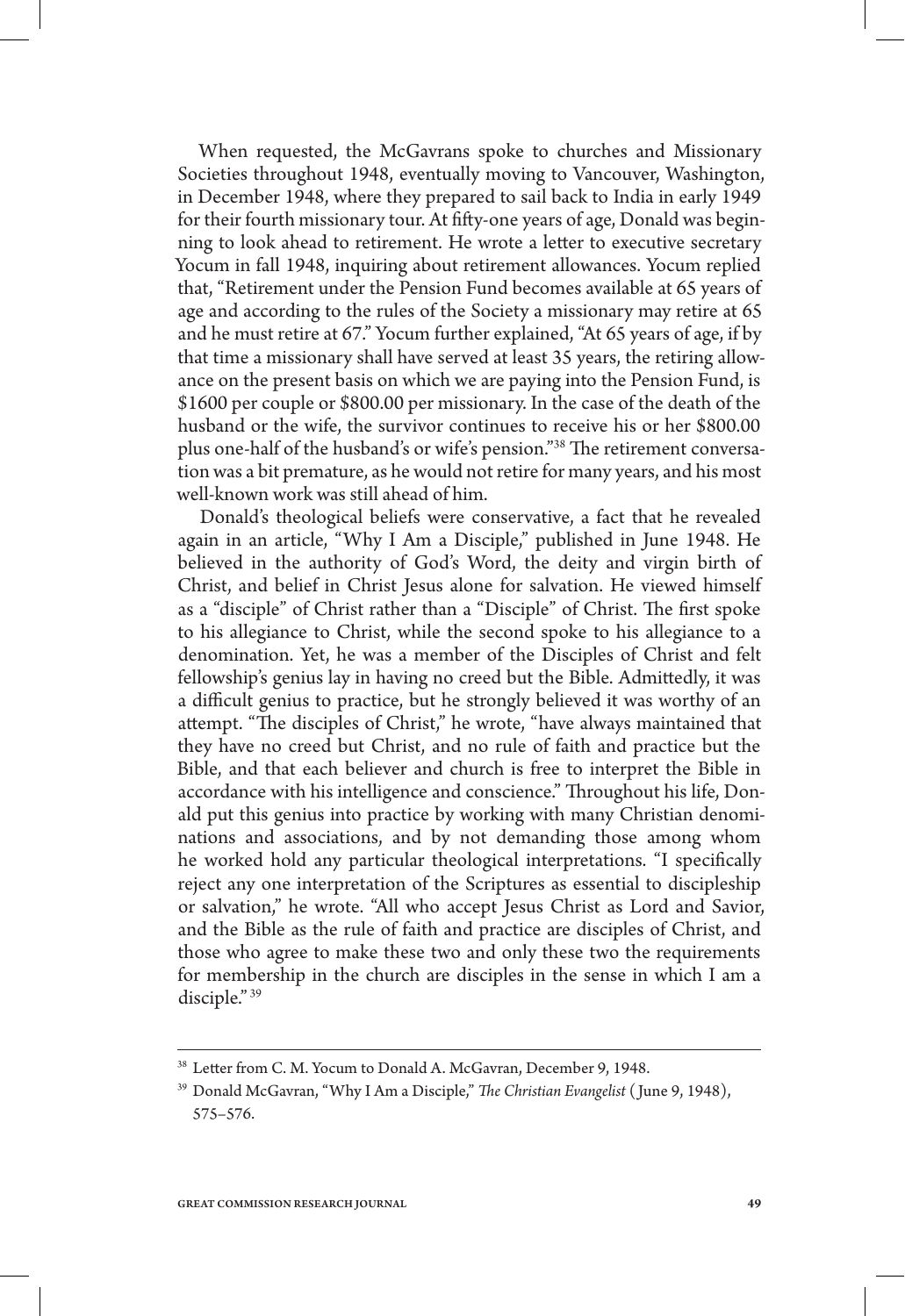When requested, the McGavrans spoke to churches and Missionary Societies throughout 1948, eventually moving to Vancouver, Washington, in December 1948, where they prepared to sail back to India in early 1949 for their fourth missionary tour. At fifty-one years of age, Donald was beginning to look ahead to retirement. He wrote a letter to executive secretary Yocum in fall 1948, inquiring about retirement allowances. Yocum replied that, "Retirement under the Pension Fund becomes available at 65 years of age and according to the rules of the Society a missionary may retire at 65 and he must retire at 67." Yocum further explained, "At 65 years of age, if by that time a missionary shall have served at least 35 years, the retiring allowance on the present basis on which we are paying into the Pension Fund, is \$1600 per couple or \$800.00 per missionary. In the case of the death of the husband or the wife, the survivor continues to receive his or her \$800.00 plus one-half of the husband's or wife's pension."38 The retirement conversation was a bit premature, as he would not retire for many years, and his most well-known work was still ahead of him.

Donald's theological beliefs were conservative, a fact that he revealed again in an article, "Why I Am a Disciple," published in June 1948. He believed in the authority of God's Word, the deity and virgin birth of Christ, and belief in Christ Jesus alone for salvation. He viewed himself as a "disciple" of Christ rather than a "Disciple" of Christ. The first spoke to his allegiance to Christ, while the second spoke to his allegiance to a denomination. Yet, he was a member of the Disciples of Christ and felt fellowship's genius lay in having no creed but the Bible. Admittedly, it was a difficult genius to practice, but he strongly believed it was worthy of an attempt. "The disciples of Christ," he wrote, "have always maintained that they have no creed but Christ, and no rule of faith and practice but the Bible, and that each believer and church is free to interpret the Bible in accordance with his intelligence and conscience." Throughout his life, Donald put this genius into practice by working with many Christian denominations and associations, and by not demanding those among whom he worked hold any particular theological interpretations. "I specifically reject any one interpretation of the Scriptures as essential to discipleship or salvation," he wrote. "All who accept Jesus Christ as Lord and Savior, and the Bible as the rule of faith and practice are disciples of Christ, and those who agree to make these two and only these two the requirements for membership in the church are disciples in the sense in which I am a disciple." 39

<sup>38</sup> Letter from C. M. Yocum to Donald A. McGavran, December 9, 1948.

<sup>39</sup> Donald McGavran, "Why I Am a Disciple," *The Christian Evangelist* ( June 9, 1948), 575–576.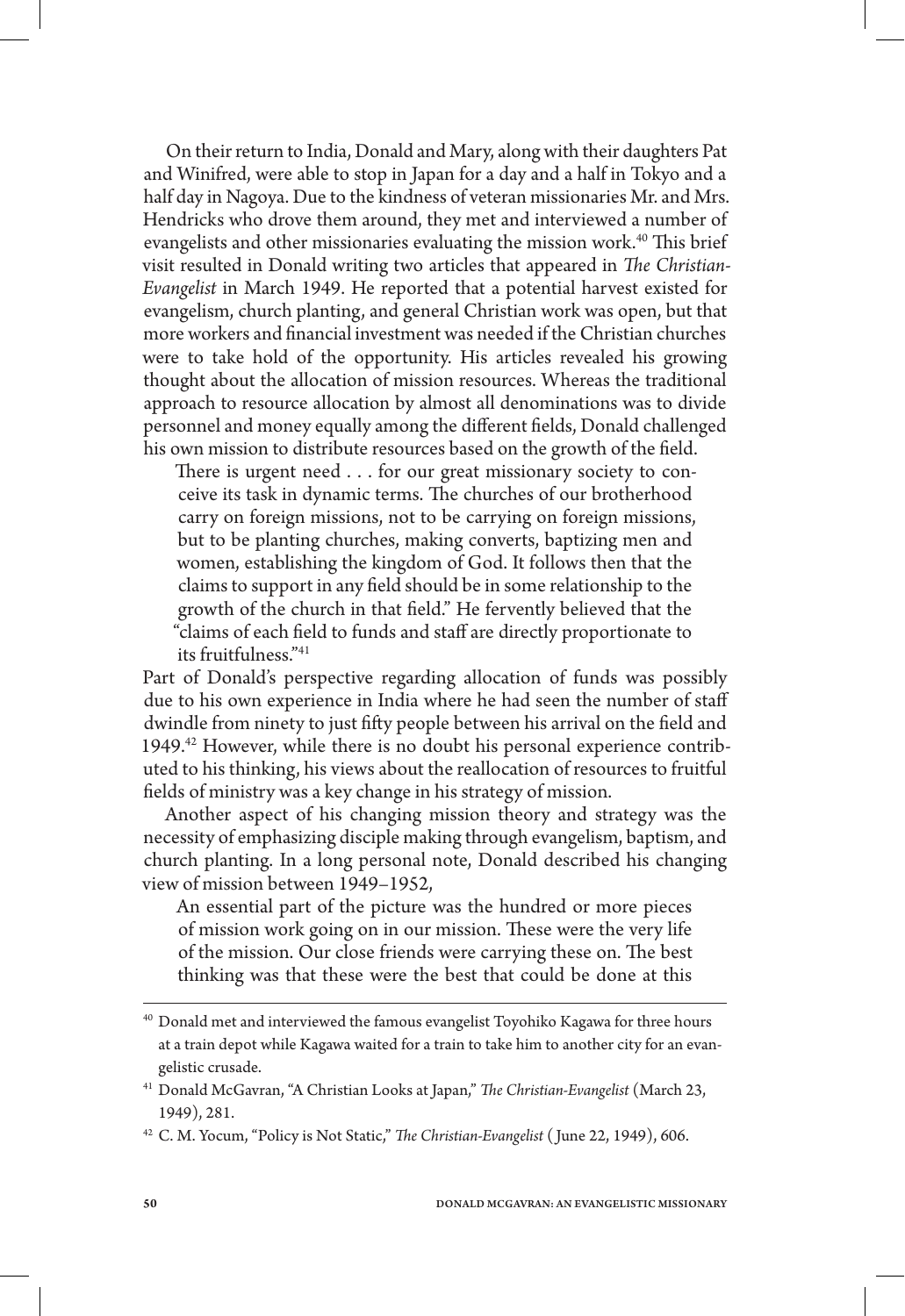On their return to India, Donald and Mary, along with their daughters Pat and Winifred, were able to stop in Japan for a day and a half in Tokyo and a half day in Nagoya. Due to the kindness of veteran missionaries Mr. and Mrs. Hendricks who drove them around, they met and interviewed a number of evangelists and other missionaries evaluating the mission work.<sup>40</sup> This brief visit resulted in Donald writing two articles that appeared in *The Christian-Evangelist* in March 1949. He reported that a potential harvest existed for evangelism, church planting, and general Christian work was open, but that more workers and financial investment was needed if the Christian churches were to take hold of the opportunity. His articles revealed his growing thought about the allocation of mission resources. Whereas the traditional approach to resource allocation by almost all denominations was to divide personnel and money equally among the different fields, Donald challenged his own mission to distribute resources based on the growth of the field.

There is urgent need . . . for our great missionary society to conceive its task in dynamic terms. The churches of our brotherhood carry on foreign missions, not to be carrying on foreign missions, but to be planting churches, making converts, baptizing men and women, establishing the kingdom of God. It follows then that the claims to support in any field should be in some relationship to the growth of the church in that field." He fervently believed that the "claims of each field to funds and staff are directly proportionate to its fruitfulness."41

Part of Donald's perspective regarding allocation of funds was possibly due to his own experience in India where he had seen the number of staff dwindle from ninety to just fifty people between his arrival on the field and 1949.<sup>42</sup> However, while there is no doubt his personal experience contributed to his thinking, his views about the reallocation of resources to fruitful fields of ministry was a key change in his strategy of mission.

Another aspect of his changing mission theory and strategy was the necessity of emphasizing disciple making through evangelism, baptism, and church planting. In a long personal note, Donald described his changing view of mission between 1949–1952,

An essential part of the picture was the hundred or more pieces of mission work going on in our mission. These were the very life of the mission. Our close friends were carrying these on. The best thinking was that these were the best that could be done at this

 $^{40}$  Donald met and interviewed the famous evangelist Toyohiko Kagawa for three hours at a train depot while Kagawa waited for a train to take him to another city for an evangelistic crusade.

<sup>41</sup> Donald McGavran, "A Christian Looks at Japan," *The Christian-Evangelist* (March 23, 1949), 281.

<sup>42</sup> C. M. Yocum, "Policy is Not Static," *The Christian-Evangelist* ( June 22, 1949), 606.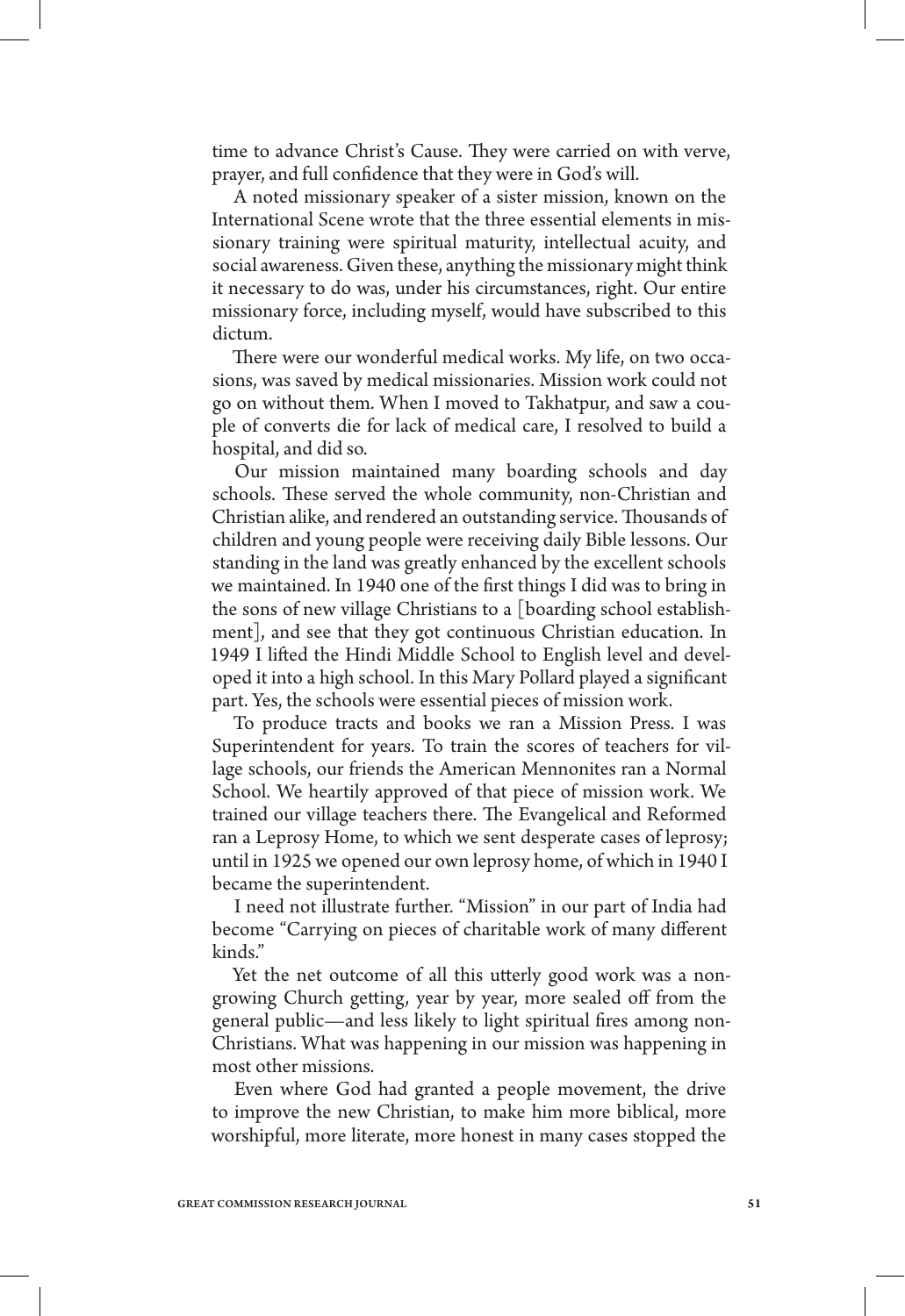time to advance Christ's Cause. They were carried on with verve, prayer, and full confidence that they were in God's will.

A noted missionary speaker of a sister mission, known on the International Scene wrote that the three essential elements in missionary training were spiritual maturity, intellectual acuity, and social awareness. Given these, anything the missionary might think it necessary to do was, under his circumstances, right. Our entire missionary force, including myself, would have subscribed to this dictum.

There were our wonderful medical works. My life, on two occasions, was saved by medical missionaries. Mission work could not go on without them. When I moved to Takhatpur, and saw a couple of converts die for lack of medical care, I resolved to build a hospital, and did so.

Our mission maintained many boarding schools and day schools. These served the whole community, non-Christian and Christian alike, and rendered an outstanding service. Thousands of children and young people were receiving daily Bible lessons. Our standing in the land was greatly enhanced by the excellent schools we maintained. In 1940 one of the first things I did was to bring in the sons of new village Christians to a [boarding school establishment], and see that they got continuous Christian education. In 1949 I lifted the Hindi Middle School to English level and developed it into a high school. In this Mary Pollard played a significant part. Yes, the schools were essential pieces of mission work.

To produce tracts and books we ran a Mission Press. I was Superintendent for years. To train the scores of teachers for village schools, our friends the American Mennonites ran a Normal School. We heartily approved of that piece of mission work. We trained our village teachers there. The Evangelical and Reformed ran a Leprosy Home, to which we sent desperate cases of leprosy; until in 1925 we opened our own leprosy home, of which in 1940 I became the superintendent.

I need not illustrate further. "Mission" in our part of India had become "Carrying on pieces of charitable work of many different kinds."

Yet the net outcome of all this utterly good work was a nongrowing Church getting, year by year, more sealed off from the general public—and less likely to light spiritual fires among non-Christians. What was happening in our mission was happening in most other missions.

Even where God had granted a people movement, the drive to improve the new Christian, to make him more biblical, more worshipful, more literate, more honest in many cases stopped the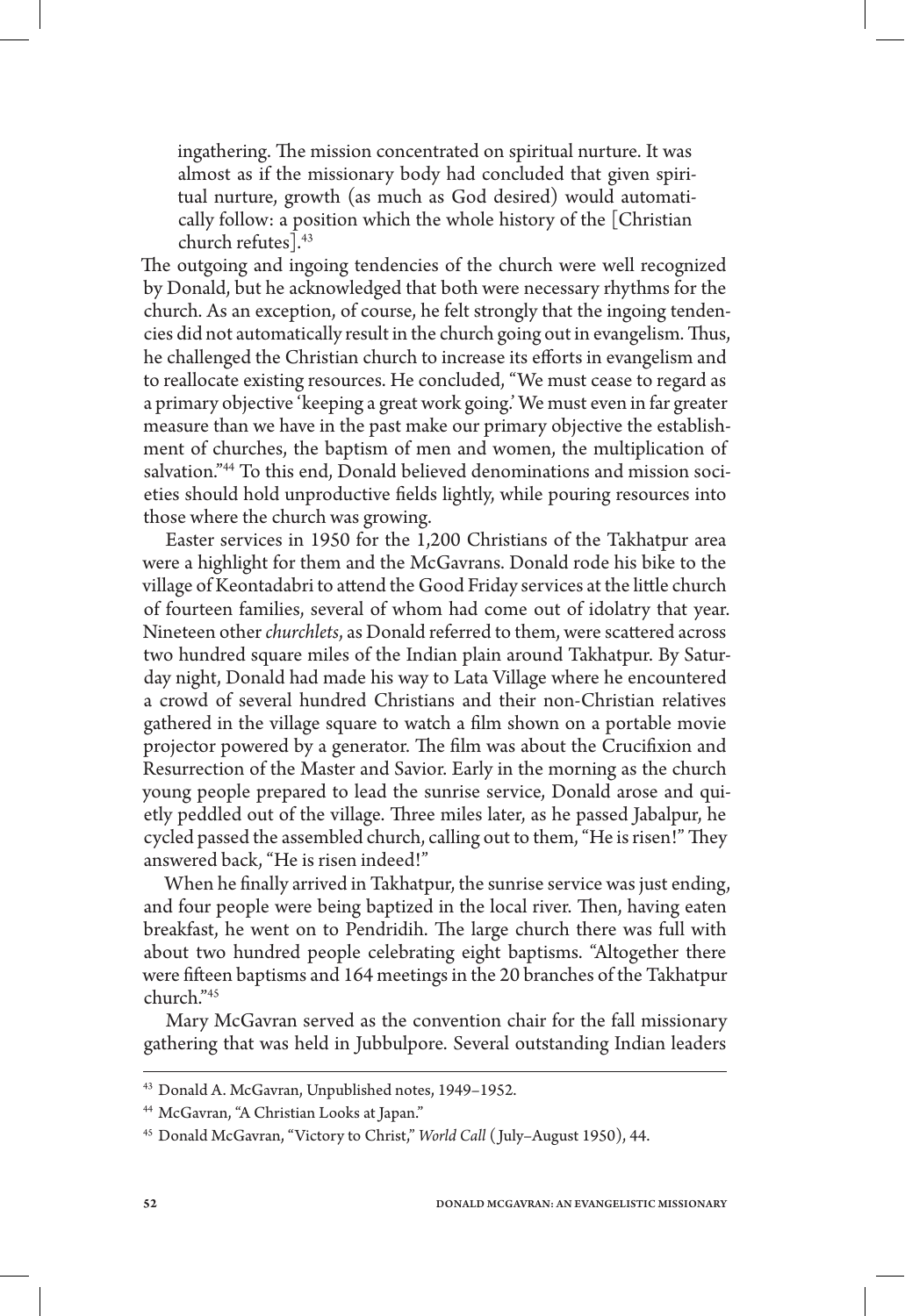ingathering. The mission concentrated on spiritual nurture. It was almost as if the missionary body had concluded that given spiritual nurture, growth (as much as God desired) would automatically follow: a position which the whole history of the [Christian church refutes].43

The outgoing and ingoing tendencies of the church were well recognized by Donald, but he acknowledged that both were necessary rhythms for the church. As an exception, of course, he felt strongly that the ingoing tendencies did not automatically result in the church going out in evangelism. Thus, he challenged the Christian church to increase its efforts in evangelism and to reallocate existing resources. He concluded, "We must cease to regard as a primary objective 'keeping a great work going.' We must even in far greater measure than we have in the past make our primary objective the establishment of churches, the baptism of men and women, the multiplication of salvation."44 To this end, Donald believed denominations and mission societies should hold unproductive fields lightly, while pouring resources into those where the church was growing.

Easter services in 1950 for the 1,200 Christians of the Takhatpur area were a highlight for them and the McGavrans. Donald rode his bike to the village of Keontadabri to attend the Good Friday services at the little church of fourteen families, several of whom had come out of idolatry that year. Nineteen other *churchlets*, as Donald referred to them, were scattered across two hundred square miles of the Indian plain around Takhatpur. By Saturday night, Donald had made his way to Lata Village where he encountered a crowd of several hundred Christians and their non-Christian relatives gathered in the village square to watch a film shown on a portable movie projector powered by a generator. The film was about the Crucifixion and Resurrection of the Master and Savior. Early in the morning as the church young people prepared to lead the sunrise service, Donald arose and quietly peddled out of the village. Three miles later, as he passed Jabalpur, he cycled passed the assembled church, calling out to them, "He is risen!" They answered back, "He is risen indeed!"

When he finally arrived in Takhatpur, the sunrise service was just ending, and four people were being baptized in the local river. Then, having eaten breakfast, he went on to Pendridih. The large church there was full with about two hundred people celebrating eight baptisms. "Altogether there were fifteen baptisms and 164 meetings in the 20 branches of the Takhatpur church."45

Mary McGavran served as the convention chair for the fall missionary gathering that was held in Jubbulpore. Several outstanding Indian leaders

<sup>43</sup> Donald A. McGavran, Unpublished notes, 1949–1952.

<sup>44</sup> McGavran, "A Christian Looks at Japan."

<sup>45</sup> Donald McGavran, "Victory to Christ," *World Call* ( July–August 1950), 44.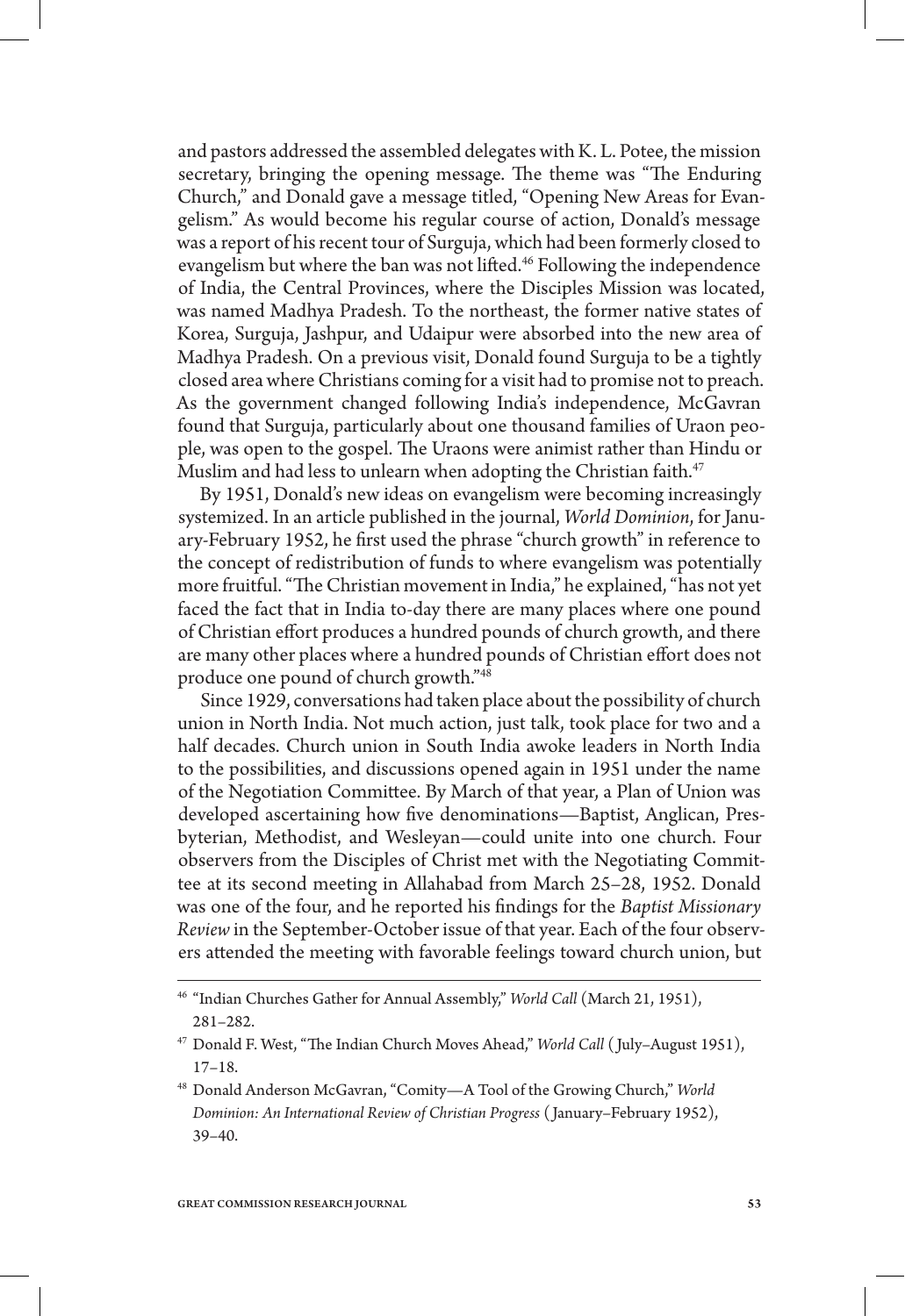and pastors addressed the assembled delegates with K. L. Potee, the mission secretary, bringing the opening message. The theme was "The Enduring Church," and Donald gave a message titled, "Opening New Areas for Evangelism." As would become his regular course of action, Donald's message was a report of his recent tour of Surguja, which had been formerly closed to evangelism but where the ban was not lifted.<sup>46</sup> Following the independence of India, the Central Provinces, where the Disciples Mission was located, was named Madhya Pradesh. To the northeast, the former native states of Korea, Surguja, Jashpur, and Udaipur were absorbed into the new area of Madhya Pradesh. On a previous visit, Donald found Surguja to be a tightly closed area where Christians coming for a visit had to promise not to preach. As the government changed following India's independence, McGavran found that Surguja, particularly about one thousand families of Uraon people, was open to the gospel. The Uraons were animist rather than Hindu or Muslim and had less to unlearn when adopting the Christian faith.<sup>47</sup>

By 1951, Donald's new ideas on evangelism were becoming increasingly systemized. In an article published in the journal, *World Dominion*, for January-February 1952, he first used the phrase "church growth" in reference to the concept of redistribution of funds to where evangelism was potentially more fruitful. "The Christian movement in India," he explained, "has not yet faced the fact that in India to-day there are many places where one pound of Christian effort produces a hundred pounds of church growth, and there are many other places where a hundred pounds of Christian effort does not produce one pound of church growth."48

Since 1929, conversations had taken place about the possibility of church union in North India. Not much action, just talk, took place for two and a half decades. Church union in South India awoke leaders in North India to the possibilities, and discussions opened again in 1951 under the name of the Negotiation Committee. By March of that year, a Plan of Union was developed ascertaining how five denominations—Baptist, Anglican, Presbyterian, Methodist, and Wesleyan—could unite into one church. Four observers from the Disciples of Christ met with the Negotiating Committee at its second meeting in Allahabad from March 25–28, 1952. Donald was one of the four, and he reported his findings for the *Baptist Missionary Review* in the September-October issue of that year. Each of the four observers attended the meeting with favorable feelings toward church union, but

<sup>46</sup> "Indian Churches Gather for Annual Assembly," *World Call* (March 21, 1951), 281–282.

<sup>47</sup> Donald F. West, "The Indian Church Moves Ahead," *World Call* ( July–August 1951), 17–18.

<sup>48</sup> Donald Anderson McGavran, "Comity—A Tool of the Growing Church," *World Dominion: An International Review of Christian Progress* ( January–February 1952), 39–40.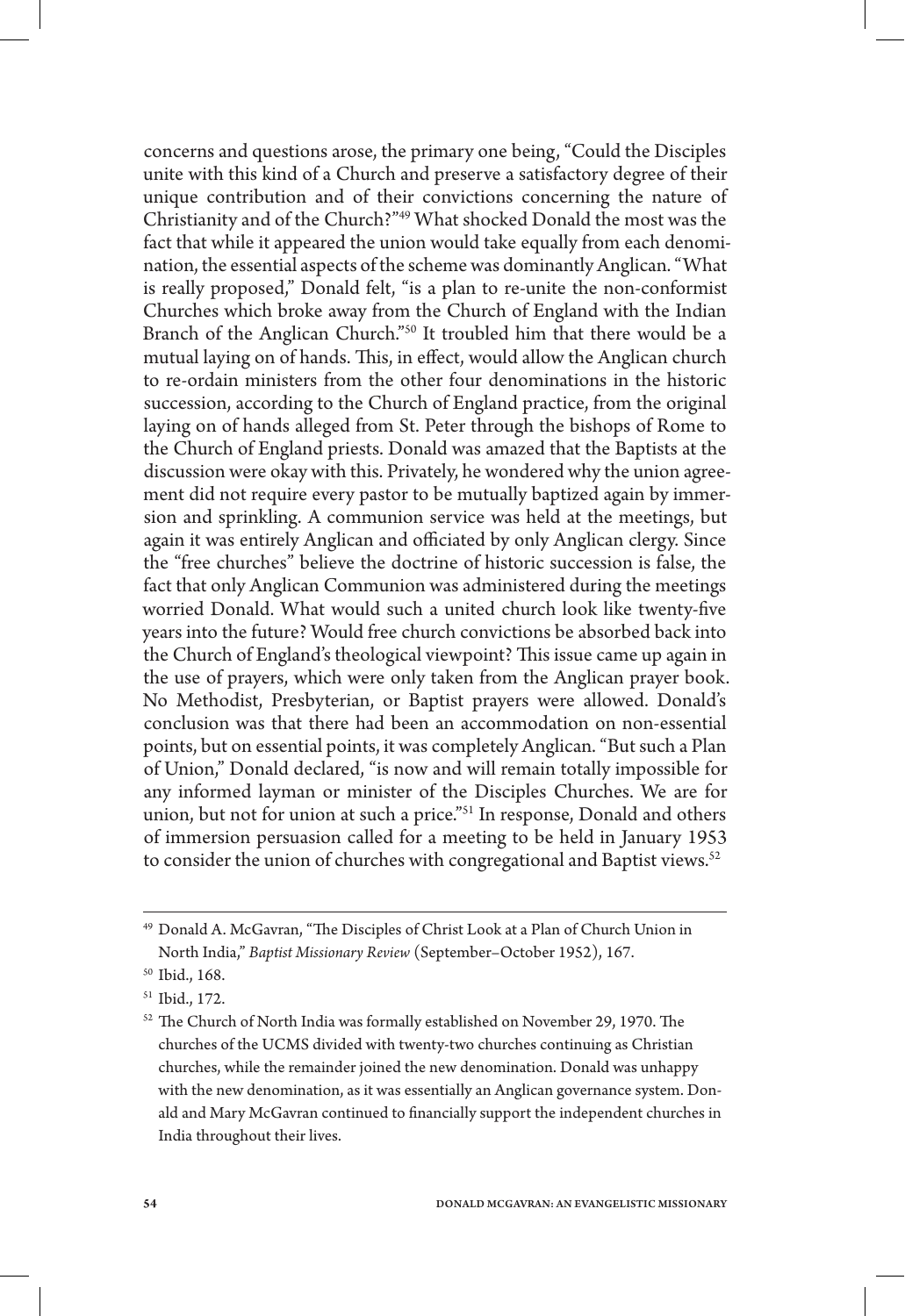concerns and questions arose, the primary one being, "Could the Disciples unite with this kind of a Church and preserve a satisfactory degree of their unique contribution and of their convictions concerning the nature of Christianity and of the Church?"49 What shocked Donald the most was the fact that while it appeared the union would take equally from each denomination, the essential aspects of the scheme was dominantly Anglican. "What is really proposed," Donald felt, "is a plan to re-unite the non-conformist Churches which broke away from the Church of England with the Indian Branch of the Anglican Church."50 It troubled him that there would be a mutual laying on of hands. This, in effect, would allow the Anglican church to re-ordain ministers from the other four denominations in the historic succession, according to the Church of England practice, from the original laying on of hands alleged from St. Peter through the bishops of Rome to the Church of England priests. Donald was amazed that the Baptists at the discussion were okay with this. Privately, he wondered why the union agreement did not require every pastor to be mutually baptized again by immersion and sprinkling. A communion service was held at the meetings, but again it was entirely Anglican and officiated by only Anglican clergy. Since the "free churches" believe the doctrine of historic succession is false, the fact that only Anglican Communion was administered during the meetings worried Donald. What would such a united church look like twenty-five years into the future? Would free church convictions be absorbed back into the Church of England's theological viewpoint? This issue came up again in the use of prayers, which were only taken from the Anglican prayer book. No Methodist, Presbyterian, or Baptist prayers were allowed. Donald's conclusion was that there had been an accommodation on non-essential points, but on essential points, it was completely Anglican. "But such a Plan of Union," Donald declared, "is now and will remain totally impossible for any informed layman or minister of the Disciples Churches. We are for union, but not for union at such a price."51 In response, Donald and others of immersion persuasion called for a meeting to be held in January 1953 to consider the union of churches with congregational and Baptist views.<sup>52</sup>

<sup>49</sup> Donald A. McGavran, "The Disciples of Christ Look at a Plan of Church Union in North India," *Baptist Missionary Review* (September–October 1952), 167.

<sup>50</sup> Ibid., 168.

<sup>51</sup> Ibid., 172.

<sup>52</sup> The Church of North India was formally established on November 29, 1970. The churches of the UCMS divided with twenty-two churches continuing as Christian churches, while the remainder joined the new denomination. Donald was unhappy with the new denomination, as it was essentially an Anglican governance system. Donald and Mary McGavran continued to financially support the independent churches in India throughout their lives.